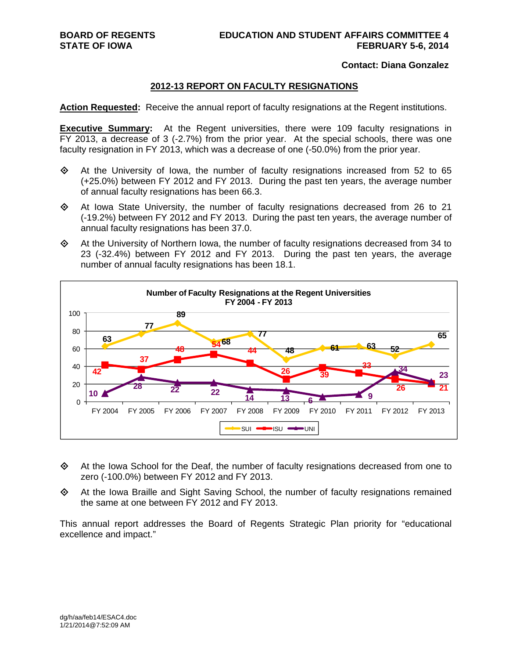#### **Contact: Diana Gonzalez**

#### **2012-13 REPORT ON FACULTY RESIGNATIONS**

**Action Requested:** Receive the annual report of faculty resignations at the Regent institutions.

**Executive Summary:** At the Regent universities, there were 109 faculty resignations in FY 2013, a decrease of 3 (-2.7%) from the prior year. At the special schools, there was one faculty resignation in FY 2013, which was a decrease of one (-50.0%) from the prior year.

- $\Leftrightarrow$  At the University of Iowa, the number of faculty resignations increased from 52 to 65 (+25.0%) between FY 2012 and FY 2013. During the past ten years, the average number of annual faculty resignations has been 66.3.
- $\Diamond$  At Iowa State University, the number of faculty resignations decreased from 26 to 21 (-19.2%) between FY 2012 and FY 2013. During the past ten years, the average number of annual faculty resignations has been 37.0.
- $\Leftrightarrow$  At the University of Northern Iowa, the number of faculty resignations decreased from 34 to 23 (-32.4%) between FY 2012 and FY 2013. During the past ten years, the average number of annual faculty resignations has been 18.1.



- $\Leftrightarrow$  At the Iowa School for the Deaf, the number of faculty resignations decreased from one to zero (-100.0%) between FY 2012 and FY 2013.
- $\Leftrightarrow$  At the Iowa Braille and Sight Saving School, the number of faculty resignations remained the same at one between FY 2012 and FY 2013.

This annual report addresses the Board of Regents Strategic Plan priority for "educational excellence and impact."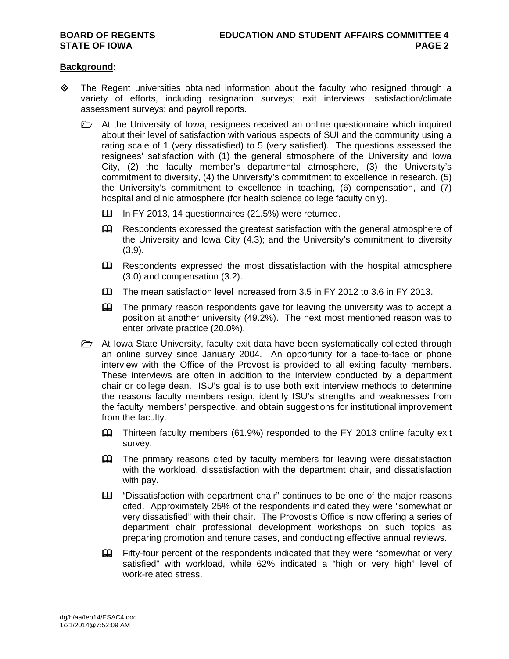#### **Background:**

- $\Diamond$  The Regent universities obtained information about the faculty who resigned through a variety of efforts, including resignation surveys; exit interviews; satisfaction/climate assessment surveys; and payroll reports.
	- $\triangleright$  At the University of Iowa, resignees received an online questionnaire which inquired about their level of satisfaction with various aspects of SUI and the community using a rating scale of 1 (very dissatisfied) to 5 (very satisfied). The questions assessed the resignees' satisfaction with (1) the general atmosphere of the University and Iowa City, (2) the faculty member's departmental atmosphere, (3) the University's commitment to diversity, (4) the University's commitment to excellence in research, (5) the University's commitment to excellence in teaching, (6) compensation, and (7) hospital and clinic atmosphere (for health science college faculty only).
		- In FY 2013, 14 questionnaires (21.5%) were returned.
		- Eu Respondents expressed the greatest satisfaction with the general atmosphere of the University and Iowa City (4.3); and the University's commitment to diversity (3.9).
		- E Respondents expressed the most dissatisfaction with the hospital atmosphere (3.0) and compensation (3.2).
		- The mean satisfaction level increased from 3.5 in FY 2012 to 3.6 in FY 2013.
		- EQ The primary reason respondents gave for leaving the university was to accept a position at another university (49.2%). The next most mentioned reason was to enter private practice (20.0%).
	- $\triangleright$  At Iowa State University, faculty exit data have been systematically collected through an online survey since January 2004. An opportunity for a face-to-face or phone interview with the Office of the Provost is provided to all exiting faculty members. These interviews are often in addition to the interview conducted by a department chair or college dean. ISU's goal is to use both exit interview methods to determine the reasons faculty members resign, identify ISU's strengths and weaknesses from the faculty members' perspective, and obtain suggestions for institutional improvement from the faculty.
		- Thirteen faculty members (61.9%) responded to the FY 2013 online faculty exit survey.
		- **Example 1** The primary reasons cited by faculty members for leaving were dissatisfaction with the workload, dissatisfaction with the department chair, and dissatisfaction with pay.
		- "Dissatisfaction with department chair" continues to be one of the major reasons cited. Approximately 25% of the respondents indicated they were "somewhat or very dissatisfied" with their chair. The Provost's Office is now offering a series of department chair professional development workshops on such topics as preparing promotion and tenure cases, and conducting effective annual reviews.
		- Fifty-four percent of the respondents indicated that they were "somewhat or very satisfied" with workload, while 62% indicated a "high or very high" level of work-related stress.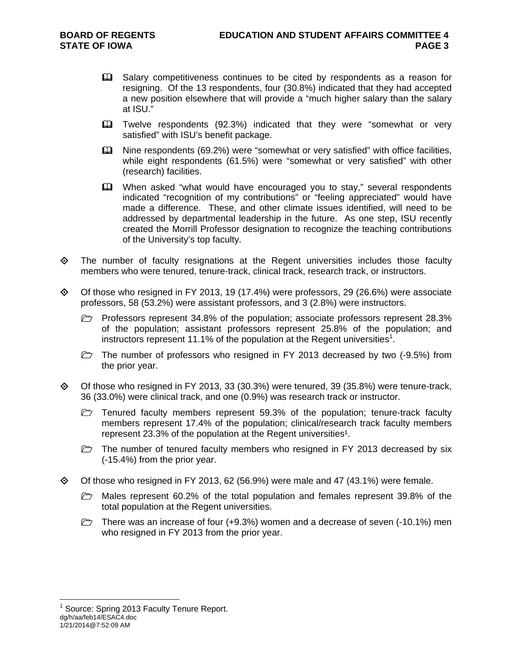- **Example 1** Salary competitiveness continues to be cited by respondents as a reason for resigning. Of the 13 respondents, four (30.8%) indicated that they had accepted a new position elsewhere that will provide a "much higher salary than the salary at ISU."
- Twelve respondents (92.3%) indicated that they were "somewhat or very satisfied" with ISU's benefit package.
- Nine respondents (69.2%) were "somewhat or very satisfied" with office facilities, while eight respondents (61.5%) were "somewhat or very satisfied" with other (research) facilities.
- When asked "what would have encouraged you to stay," several respondents indicated "recognition of my contributions" or "feeling appreciated" would have made a difference. These, and other climate issues identified, will need to be addressed by departmental leadership in the future. As one step, ISU recently created the Morrill Professor designation to recognize the teaching contributions of the University's top faculty.
- $\Leftrightarrow$  The number of faculty resignations at the Regent universities includes those faculty members who were tenured, tenure-track, clinical track, research track, or instructors.
- $\diamond$  Of those who resigned in FY 2013, 19 (17.4%) were professors, 29 (26.6%) were associate professors, 58 (53.2%) were assistant professors, and 3 (2.8%) were instructors.

Professors represent 34.8% of the population; associate professors represent 28.3% of the population; assistant professors represent 25.8% of the population; and instructors represent 11.1% of the population at the Regent universities<sup>1</sup>.

 $\triangleright$  The number of professors who resigned in FY 2013 decreased by two (-9.5%) from the prior year.

- $\diamond$  Of those who resigned in FY 2013, 33 (30.3%) were tenured, 39 (35.8%) were tenure-track, 36 (33.0%) were clinical track, and one (0.9%) was research track or instructor.
	- $\triangleright$  Tenured faculty members represent 59.3% of the population; tenure-track faculty members represent 17.4% of the population; clinical/research track faculty members represent 23.3% of the population at the Regent universities<sup>1</sup>.
	- $\triangleright$  The number of tenured faculty members who resigned in FY 2013 decreased by six (-15.4%) from the prior year.
- $\Diamond$  Of those who resigned in FY 2013, 62 (56.9%) were male and 47 (43.1%) were female.
	- $\triangleright$  Males represent 60.2% of the total population and females represent 39.8% of the total population at the Regent universities.
	- There was an increase of four  $(+9.3%)$  women and a decrease of seven  $(-10.1%)$  men who resigned in FY 2013 from the prior year.

 $\overline{a}$ 

dg/h/aa/feb14/ESAC4.doc 1/21/2014@7:52:09 AM <sup>1</sup> Source: Spring 2013 Faculty Tenure Report.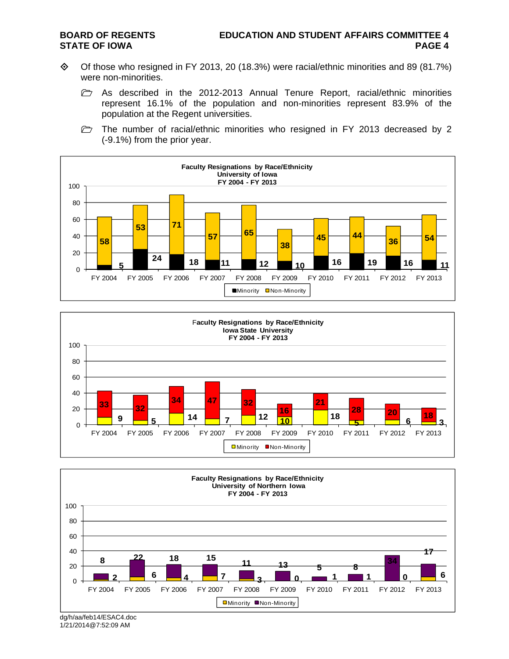- Of those who resigned in FY 2013, 20 (18.3%) were racial/ethnic minorities and 89 (81.7%) were non-minorities.
	- **h** As described in the 2012-2013 Annual Tenure Report, racial/ethnic minorities represent 16.1% of the population and non-minorities represent 83.9% of the population at the Regent universities.
	- $\triangleright$  The number of racial/ethnic minorities who resigned in FY 2013 decreased by 2 (-9.1%) from the prior year.







dg/h/aa/feb14/ESAC4.doc 1/21/2014@7:52:09 AM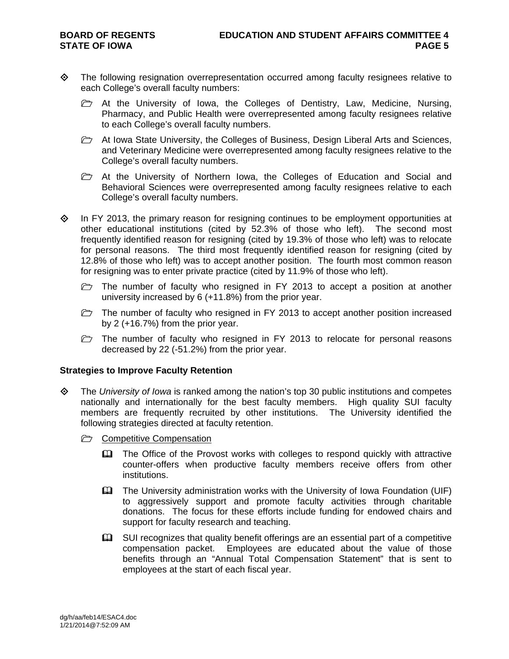- The following resignation overrepresentation occurred among faculty resignees relative to each College's overall faculty numbers:
	- $\triangleright$  At the University of Iowa, the Colleges of Dentistry, Law, Medicine, Nursing, Pharmacy, and Public Health were overrepresented among faculty resignees relative to each College's overall faculty numbers.
	- $\triangleright$  At Iowa State University, the Colleges of Business, Design Liberal Arts and Sciences, and Veterinary Medicine were overrepresented among faculty resignees relative to the College's overall faculty numbers.
	- $\triangleright$  At the University of Northern Iowa, the Colleges of Education and Social and Behavioral Sciences were overrepresented among faculty resignees relative to each College's overall faculty numbers.
- $\Diamond$  In FY 2013, the primary reason for resigning continues to be employment opportunities at other educational institutions (cited by 52.3% of those who left). The second most frequently identified reason for resigning (cited by 19.3% of those who left) was to relocate for personal reasons. The third most frequently identified reason for resigning (cited by 12.8% of those who left) was to accept another position. The fourth most common reason for resigning was to enter private practice (cited by 11.9% of those who left).
	- $\triangleright$  The number of faculty who resigned in FY 2013 to accept a position at another university increased by 6 (+11.8%) from the prior year.
	- $\triangleright$  The number of faculty who resigned in FY 2013 to accept another position increased by 2 (+16.7%) from the prior year.
	- $\triangleright$  The number of faculty who resigned in FY 2013 to relocate for personal reasons decreased by 22 (-51.2%) from the prior year.

#### **Strategies to Improve Faculty Retention**

- The *University of Iowa* is ranked among the nation's top 30 public institutions and competes nationally and internationally for the best faculty members. High quality SUI faculty members are frequently recruited by other institutions. The University identified the following strategies directed at faculty retention.
	- **C** Competitive Compensation
		- The Office of the Provost works with colleges to respond quickly with attractive counter-offers when productive faculty members receive offers from other institutions.
		- The University administration works with the University of Iowa Foundation (UIF) to aggressively support and promote faculty activities through charitable donations. The focus for these efforts include funding for endowed chairs and support for faculty research and teaching.
		- $\Box$  SUI recognizes that quality benefit offerings are an essential part of a competitive compensation packet. Employees are educated about the value of those benefits through an "Annual Total Compensation Statement" that is sent to employees at the start of each fiscal year.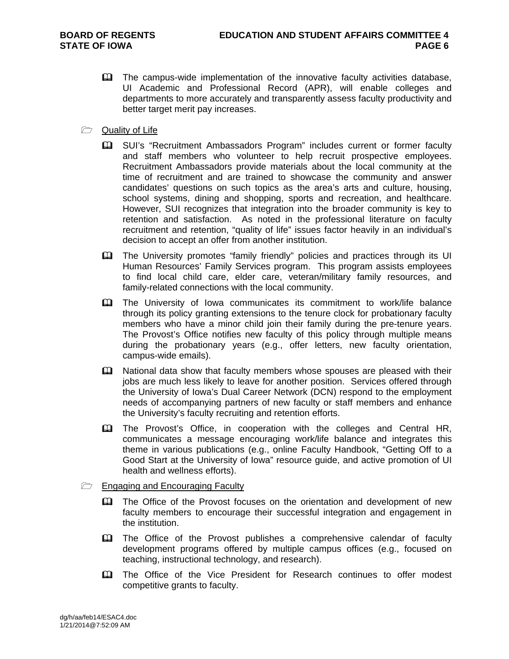- The campus-wide implementation of the innovative faculty activities database, UI Academic and Professional Record (APR), will enable colleges and departments to more accurately and transparently assess faculty productivity and better target merit pay increases.
- **Quality of Life** 
	- SUI's "Recruitment Ambassadors Program" includes current or former faculty and staff members who volunteer to help recruit prospective employees. Recruitment Ambassadors provide materials about the local community at the time of recruitment and are trained to showcase the community and answer candidates' questions on such topics as the area's arts and culture, housing, school systems, dining and shopping, sports and recreation, and healthcare. However, SUI recognizes that integration into the broader community is key to retention and satisfaction. As noted in the professional literature on faculty recruitment and retention, "quality of life" issues factor heavily in an individual's decision to accept an offer from another institution.
	- The University promotes "family friendly" policies and practices through its UI Human Resources' Family Services program. This program assists employees to find local child care, elder care, veteran/military family resources, and family-related connections with the local community.
	- The University of Iowa communicates its commitment to work/life balance through its policy granting extensions to the tenure clock for probationary faculty members who have a minor child join their family during the pre-tenure years. The Provost's Office notifies new faculty of this policy through multiple means during the probationary years (e.g., offer letters, new faculty orientation, campus-wide emails).
	- **Exagger** National data show that faculty members whose spouses are pleased with their jobs are much less likely to leave for another position. Services offered through the University of Iowa's Dual Career Network (DCN) respond to the employment needs of accompanying partners of new faculty or staff members and enhance the University's faculty recruiting and retention efforts.
	- The Provost's Office, in cooperation with the colleges and Central HR, communicates a message encouraging work/life balance and integrates this theme in various publications (e.g., online Faculty Handbook, "Getting Off to a Good Start at the University of Iowa" resource guide, and active promotion of UI health and wellness efforts).
- **Engaging and Encouraging Faculty** 
	- **Example 2** The Office of the Provost focuses on the orientation and development of new faculty members to encourage their successful integration and engagement in the institution.
	- **EQ The Office of the Provost publishes a comprehensive calendar of faculty** development programs offered by multiple campus offices (e.g., focused on teaching, instructional technology, and research).
	- **EQ The Office of the Vice President for Research continues to offer modest** competitive grants to faculty.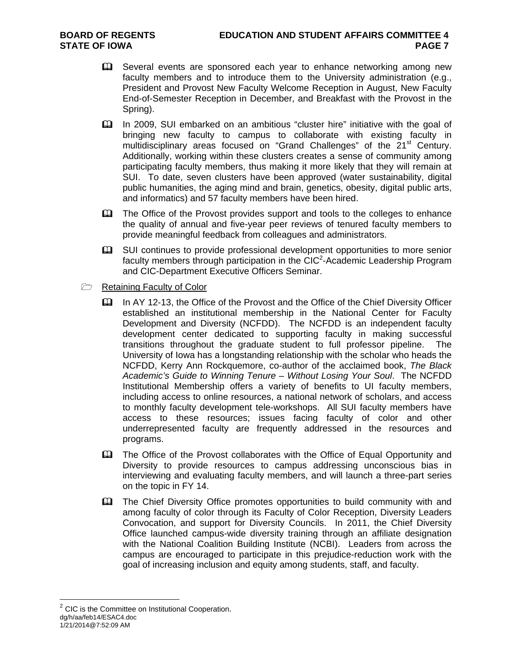- Several events are sponsored each year to enhance networking among new faculty members and to introduce them to the University administration (e.g., President and Provost New Faculty Welcome Reception in August, New Faculty End-of-Semester Reception in December, and Breakfast with the Provost in the Spring).
- In 2009, SUI embarked on an ambitious "cluster hire" initiative with the goal of bringing new faculty to campus to collaborate with existing faculty in multidisciplinary areas focused on "Grand Challenges" of the 21<sup>st</sup> Century. Additionally, working within these clusters creates a sense of community among participating faculty members, thus making it more likely that they will remain at SUI. To date, seven clusters have been approved (water sustainability, digital public humanities, the aging mind and brain, genetics, obesity, digital public arts, and informatics) and 57 faculty members have been hired.
- The Office of the Provost provides support and tools to the colleges to enhance the quality of annual and five-year peer reviews of tenured faculty members to provide meaningful feedback from colleagues and administrators.
- SUI continues to provide professional development opportunities to more senior faculty members through participation in the CIC<sup>2</sup>-Academic Leadership Program and CIC-Department Executive Officers Seminar.
- **E** Retaining Faculty of Color
	- In AY 12-13, the Office of the Provost and the Office of the Chief Diversity Officer established an institutional membership in the National Center for Faculty Development and Diversity (NCFDD). The NCFDD is an independent faculty development center dedicated to supporting faculty in making successful transitions throughout the graduate student to full professor pipeline. The University of Iowa has a longstanding relationship with the scholar who heads the NCFDD, Kerry Ann Rockquemore, co-author of the acclaimed book, *The Black Academic's Guide to Winning Tenure – Without Losing Your Soul*. The NCFDD Institutional Membership offers a variety of benefits to UI faculty members, including access to online resources, a national network of scholars, and access to monthly faculty development tele-workshops. All SUI faculty members have access to these resources; issues facing faculty of color and other underrepresented faculty are frequently addressed in the resources and programs.
	- The Office of the Provost collaborates with the Office of Equal Opportunity and Diversity to provide resources to campus addressing unconscious bias in interviewing and evaluating faculty members, and will launch a three-part series on the topic in FY 14.
	- The Chief Diversity Office promotes opportunities to build community with and among faculty of color through its Faculty of Color Reception, Diversity Leaders Convocation, and support for Diversity Councils. In 2011, the Chief Diversity Office launched campus-wide diversity training through an affiliate designation with the National Coalition Building Institute (NCBI). Leaders from across the campus are encouraged to participate in this prejudice-reduction work with the goal of increasing inclusion and equity among students, staff, and faculty.

 $\overline{a}$ 

dg/h/aa/feb14/ESAC4.doc 1/21/2014@7:52:09 AM  $2$  CIC is the Committee on Institutional Cooperation.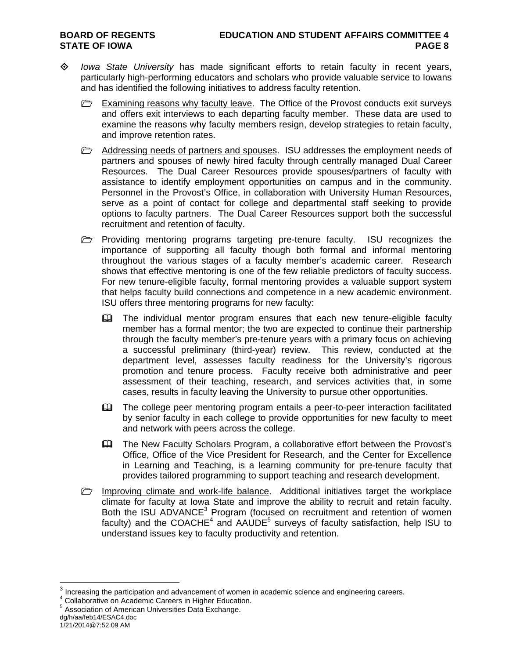- *Iowa State University* has made significant efforts to retain faculty in recent years, particularly high-performing educators and scholars who provide valuable service to Iowans and has identified the following initiatives to address faculty retention.
	- $\triangleright$  Examining reasons why faculty leave. The Office of the Provost conducts exit surveys and offers exit interviews to each departing faculty member. These data are used to examine the reasons why faculty members resign, develop strategies to retain faculty, and improve retention rates.
	- **E** Addressing needs of partners and spouses. ISU addresses the employment needs of partners and spouses of newly hired faculty through centrally managed Dual Career Resources. The Dual Career Resources provide spouses/partners of faculty with assistance to identify employment opportunities on campus and in the community. Personnel in the Provost's Office, in collaboration with University Human Resources, serve as a point of contact for college and departmental staff seeking to provide options to faculty partners. The Dual Career Resources support both the successful recruitment and retention of faculty.
	- $\triangleright$  Providing mentoring programs targeting pre-tenure faculty. ISU recognizes the importance of supporting all faculty though both formal and informal mentoring throughout the various stages of a faculty member's academic career. Research shows that effective mentoring is one of the few reliable predictors of faculty success. For new tenure-eligible faculty, formal mentoring provides a valuable support system that helps faculty build connections and competence in a new academic environment. ISU offers three mentoring programs for new faculty:
		- The individual mentor program ensures that each new tenure-eligible faculty member has a formal mentor; the two are expected to continue their partnership through the faculty member's pre-tenure years with a primary focus on achieving a successful preliminary (third-year) review. This review, conducted at the department level, assesses faculty readiness for the University's rigorous promotion and tenure process. Faculty receive both administrative and peer assessment of their teaching, research, and services activities that, in some cases, results in faculty leaving the University to pursue other opportunities.
		- The college peer mentoring program entails a peer-to-peer interaction facilitated by senior faculty in each college to provide opportunities for new faculty to meet and network with peers across the college.
		- The New Faculty Scholars Program, a collaborative effort between the Provost's Office, Office of the Vice President for Research, and the Center for Excellence in Learning and Teaching, is a learning community for pre-tenure faculty that provides tailored programming to support teaching and research development.
	- $\Box$  Improving climate and work-life balance. Additional initiatives target the workplace climate for faculty at Iowa State and improve the ability to recruit and retain faculty. Both the ISU ADVANCE<sup>3</sup> Program (focused on recruitment and retention of women faculty) and the COACHE<sup>4</sup> and AAUDE<sup>5</sup> surveys of faculty satisfaction, help ISU to understand issues key to faculty productivity and retention.

dg/h/aa/feb14/ESAC4.doc

 $\overline{a}$ 

 $3$  Increasing the participation and advancement of women in academic science and engineering careers.<br>4 Cellaborative an Academic Careers in Higher Education

<sup>&</sup>lt;sup>4</sup> Collaborative on Academic Careers in Higher Education.

Association of American Universities Data Exchange.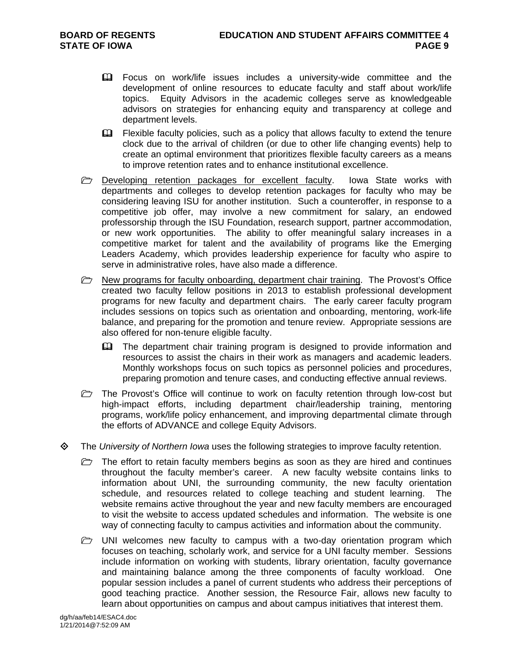- Focus on work/life issues includes a university-wide committee and the development of online resources to educate faculty and staff about work/life topics. Equity Advisors in the academic colleges serve as knowledgeable advisors on strategies for enhancing equity and transparency at college and department levels.
- **Example faculty policies, such as a policy that allows faculty to extend the tenure** clock due to the arrival of children (or due to other life changing events) help to create an optimal environment that prioritizes flexible faculty careers as a means to improve retention rates and to enhance institutional excellence.
- **Developing retention packages for excellent faculty.** Iowa State works with departments and colleges to develop retention packages for faculty who may be considering leaving ISU for another institution. Such a counteroffer, in response to a competitive job offer, may involve a new commitment for salary, an endowed professorship through the ISU Foundation, research support, partner accommodation, or new work opportunities. The ability to offer meaningful salary increases in a competitive market for talent and the availability of programs like the Emerging Leaders Academy, which provides leadership experience for faculty who aspire to serve in administrative roles, have also made a difference.
- $\triangleright$  New programs for faculty onboarding, department chair training. The Provost's Office created two faculty fellow positions in 2013 to establish professional development programs for new faculty and department chairs. The early career faculty program includes sessions on topics such as orientation and onboarding, mentoring, work-life balance, and preparing for the promotion and tenure review. Appropriate sessions are also offered for non-tenure eligible faculty.
	- The department chair training program is designed to provide information and resources to assist the chairs in their work as managers and academic leaders. Monthly workshops focus on such topics as personnel policies and procedures, preparing promotion and tenure cases, and conducting effective annual reviews.
- $\triangleright$  The Provost's Office will continue to work on faculty retention through low-cost but high-impact efforts, including department chair/leadership training, mentoring programs, work/life policy enhancement, and improving departmental climate through the efforts of ADVANCE and college Equity Advisors.
- The *University of Northern Iowa* uses the following strategies to improve faculty retention.
	- $\triangleright$  The effort to retain faculty members begins as soon as they are hired and continues throughout the faculty member's career. A new faculty website contains links to information about UNI, the surrounding community, the new faculty orientation schedule, and resources related to college teaching and student learning. The website remains active throughout the year and new faculty members are encouraged to visit the website to access updated schedules and information. The website is one way of connecting faculty to campus activities and information about the community.
	- $\triangleright$  UNI welcomes new faculty to campus with a two-day orientation program which focuses on teaching, scholarly work, and service for a UNI faculty member. Sessions include information on working with students, library orientation, faculty governance and maintaining balance among the three components of faculty workload. One popular session includes a panel of current students who address their perceptions of good teaching practice. Another session, the Resource Fair, allows new faculty to learn about opportunities on campus and about campus initiatives that interest them.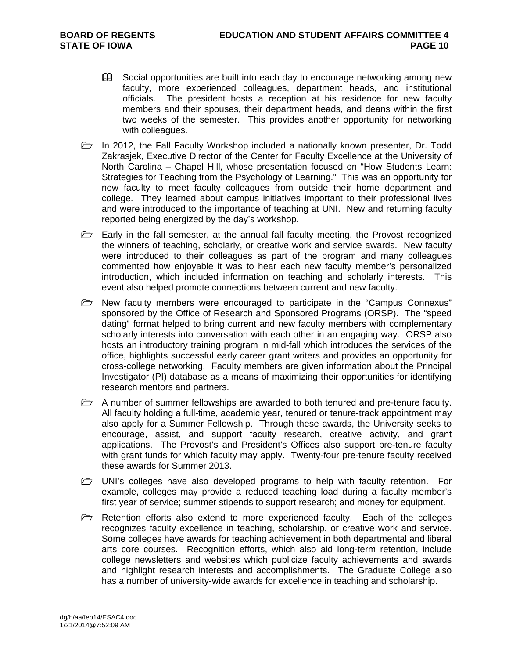- **Example 3** Social opportunities are built into each day to encourage networking among new faculty, more experienced colleagues, department heads, and institutional officials. The president hosts a reception at his residence for new faculty members and their spouses, their department heads, and deans within the first two weeks of the semester. This provides another opportunity for networking with colleagues.
- $\triangleright$  In 2012, the Fall Faculty Workshop included a nationally known presenter, Dr. Todd Zakrasjek, Executive Director of the Center for Faculty Excellence at the University of North Carolina – Chapel Hill, whose presentation focused on "How Students Learn: Strategies for Teaching from the Psychology of Learning." This was an opportunity for new faculty to meet faculty colleagues from outside their home department and college. They learned about campus initiatives important to their professional lives and were introduced to the importance of teaching at UNI. New and returning faculty reported being energized by the day's workshop.
- $\triangleright$  Early in the fall semester, at the annual fall faculty meeting, the Provost recognized the winners of teaching, scholarly, or creative work and service awards. New faculty were introduced to their colleagues as part of the program and many colleagues commented how enjoyable it was to hear each new faculty member's personalized introduction, which included information on teaching and scholarly interests. This event also helped promote connections between current and new faculty.
- $\triangleright$  New faculty members were encouraged to participate in the "Campus Connexus" sponsored by the Office of Research and Sponsored Programs (ORSP). The "speed dating" format helped to bring current and new faculty members with complementary scholarly interests into conversation with each other in an engaging way. ORSP also hosts an introductory training program in mid-fall which introduces the services of the office, highlights successful early career grant writers and provides an opportunity for cross-college networking. Faculty members are given information about the Principal Investigator (PI) database as a means of maximizing their opportunities for identifying research mentors and partners.
- $\triangleright$  A number of summer fellowships are awarded to both tenured and pre-tenure faculty. All faculty holding a full-time, academic year, tenured or tenure-track appointment may also apply for a Summer Fellowship. Through these awards, the University seeks to encourage, assist, and support faculty research, creative activity, and grant applications. The Provost's and President's Offices also support pre-tenure faculty with grant funds for which faculty may apply. Twenty-four pre-tenure faculty received these awards for Summer 2013.
- $\triangleright$  UNI's colleges have also developed programs to help with faculty retention. For example, colleges may provide a reduced teaching load during a faculty member's first year of service; summer stipends to support research; and money for equipment.
- $\triangleright$  Retention efforts also extend to more experienced faculty. Each of the colleges recognizes faculty excellence in teaching, scholarship, or creative work and service. Some colleges have awards for teaching achievement in both departmental and liberal arts core courses. Recognition efforts, which also aid long-term retention, include college newsletters and websites which publicize faculty achievements and awards and highlight research interests and accomplishments. The Graduate College also has a number of university-wide awards for excellence in teaching and scholarship.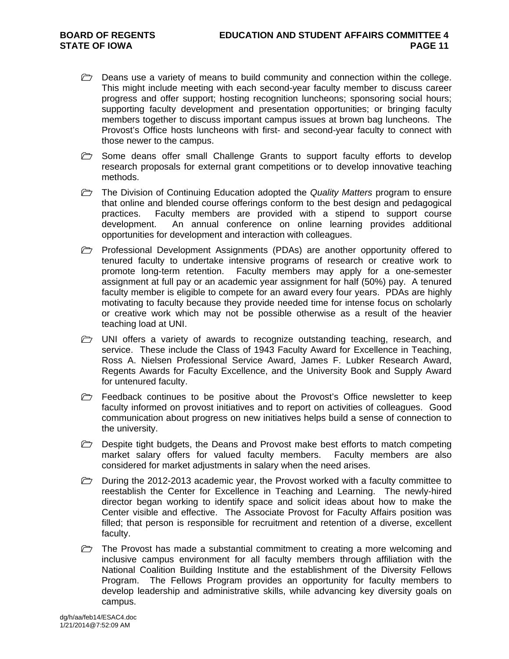- $\triangleright$  Deans use a variety of means to build community and connection within the college. This might include meeting with each second-year faculty member to discuss career progress and offer support; hosting recognition luncheons; sponsoring social hours; supporting faculty development and presentation opportunities; or bringing faculty members together to discuss important campus issues at brown bag luncheons. The Provost's Office hosts luncheons with first- and second-year faculty to connect with those newer to the campus.
- $\triangleright$  Some deans offer small Challenge Grants to support faculty efforts to develop research proposals for external grant competitions or to develop innovative teaching methods.
- **The Division of Continuing Education adopted the** *Quality Matters* **program to ensure** that online and blended course offerings conform to the best design and pedagogical practices. Faculty members are provided with a stipend to support course development. An annual conference on online learning provides additional opportunities for development and interaction with colleagues.
- **Professional Development Assignments (PDAs) are another opportunity offered to** tenured faculty to undertake intensive programs of research or creative work to promote long-term retention. Faculty members may apply for a one-semester assignment at full pay or an academic year assignment for half (50%) pay. A tenured faculty member is eligible to compete for an award every four years. PDAs are highly motivating to faculty because they provide needed time for intense focus on scholarly or creative work which may not be possible otherwise as a result of the heavier teaching load at UNI.
- $\triangleright$  UNI offers a variety of awards to recognize outstanding teaching, research, and service. These include the Class of 1943 Faculty Award for Excellence in Teaching, Ross A. Nielsen Professional Service Award, James F. Lubker Research Award, Regents Awards for Faculty Excellence, and the University Book and Supply Award for untenured faculty.
- $\triangleright$  Feedback continues to be positive about the Provost's Office newsletter to keep faculty informed on provost initiatives and to report on activities of colleagues. Good communication about progress on new initiatives helps build a sense of connection to the university.
- $\triangleright$  Despite tight budgets, the Deans and Provost make best efforts to match competing market salary offers for valued faculty members. Faculty members are also considered for market adjustments in salary when the need arises.
- $\Box$  During the 2012-2013 academic year, the Provost worked with a faculty committee to reestablish the Center for Excellence in Teaching and Learning. The newly-hired director began working to identify space and solicit ideas about how to make the Center visible and effective. The Associate Provost for Faculty Affairs position was filled; that person is responsible for recruitment and retention of a diverse, excellent faculty.
- $\triangleright$  The Provost has made a substantial commitment to creating a more welcoming and inclusive campus environment for all faculty members through affiliation with the National Coalition Building Institute and the establishment of the Diversity Fellows Program. The Fellows Program provides an opportunity for faculty members to develop leadership and administrative skills, while advancing key diversity goals on campus.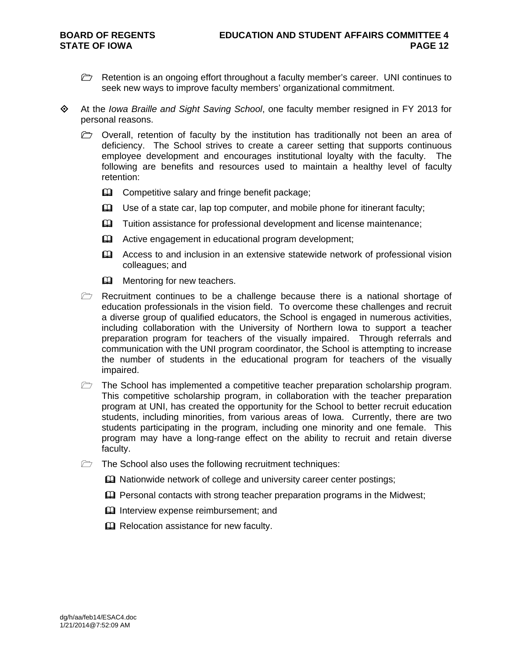- $\triangleright$  Retention is an ongoing effort throughout a faculty member's career. UNI continues to seek new ways to improve faculty members' organizational commitment.
- At the *Iowa Braille and Sight Saving School*, one faculty member resigned in FY 2013 for personal reasons.
	- $\triangleright$  Overall, retention of faculty by the institution has traditionally not been an area of deficiency. The School strives to create a career setting that supports continuous employee development and encourages institutional loyalty with the faculty. The following are benefits and resources used to maintain a healthy level of faculty retention:
		- **Example 1** Competitive salary and fringe benefit package;
		- $\Box$  Use of a state car, lap top computer, and mobile phone for itinerant faculty;
		- **Example 1** Tuition assistance for professional development and license maintenance;
		- Active engagement in educational program development;
		- Access to and inclusion in an extensive statewide network of professional vision colleagues; and
		- **Mentoring for new teachers.**
	- $\triangleright$  Recruitment continues to be a challenge because there is a national shortage of education professionals in the vision field. To overcome these challenges and recruit a diverse group of qualified educators, the School is engaged in numerous activities, including collaboration with the University of Northern Iowa to support a teacher preparation program for teachers of the visually impaired. Through referrals and communication with the UNI program coordinator, the School is attempting to increase the number of students in the educational program for teachers of the visually impaired.
	- $\triangleright$  The School has implemented a competitive teacher preparation scholarship program. This competitive scholarship program, in collaboration with the teacher preparation program at UNI, has created the opportunity for the School to better recruit education students, including minorities, from various areas of Iowa. Currently, there are two students participating in the program, including one minority and one female. This program may have a long-range effect on the ability to recruit and retain diverse faculty.
	- $\Box$  The School also uses the following recruitment techniques:
		- **EX** Nationwide network of college and university career center postings;
		- Personal contacts with strong teacher preparation programs in the Midwest;
		- **Q Interview expense reimbursement; and**
		- **Q** Relocation assistance for new faculty.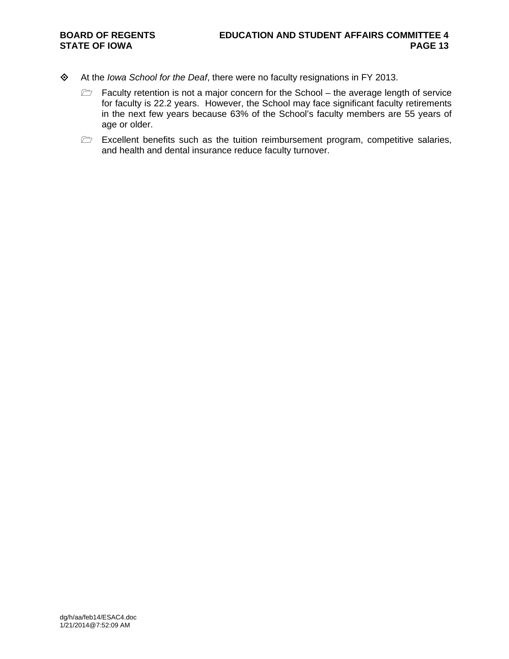- At the *Iowa School for the Deaf*, there were no faculty resignations in FY 2013.
	- $\triangleright$  Faculty retention is not a major concern for the School the average length of service for faculty is 22.2 years. However, the School may face significant faculty retirements in the next few years because 63% of the School's faculty members are 55 years of age or older.
	- $\Box$  Excellent benefits such as the tuition reimbursement program, competitive salaries, and health and dental insurance reduce faculty turnover.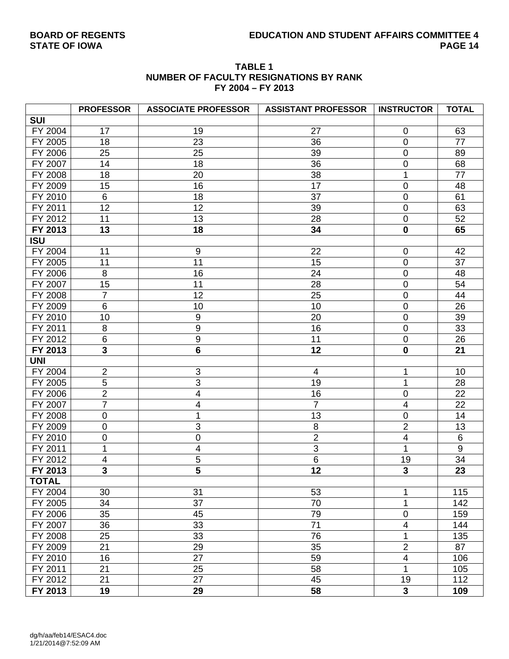# **BOARD OF REGENTS EDUCATION AND STUDENT AFFAIRS COMMITTEE 4**

**STATE OF IOWA** 

|              |                  | . . <del>.</del> vv .      | .                          |                         |              |
|--------------|------------------|----------------------------|----------------------------|-------------------------|--------------|
|              | <b>PROFESSOR</b> | <b>ASSOCIATE PROFESSOR</b> | <b>ASSISTANT PROFESSOR</b> | <b>INSTRUCTOR</b>       | <b>TOTAL</b> |
| <b>SUI</b>   |                  |                            |                            |                         |              |
| FY 2004      | 17               | 19                         | 27                         | 0                       | 63           |
| FY 2005      | 18               | 23                         | 36                         | $\mathbf 0$             | 77           |
| FY 2006      | 25               | 25                         | 39                         | 0                       | 89           |
| FY 2007      | 14               | 18                         | 36                         | 0                       | 68           |
| FY 2008      | 18               | 20                         | 38                         | 1                       | 77           |
| FY 2009      | 15               | 16                         | 17                         | 0                       | 48           |
| FY 2010      | 6                | 18                         | 37                         | 0                       | 61           |
| FY 2011      | 12               | 12                         | 39                         | 0                       | 63           |
| FY 2012      | 11               | 13                         | 28                         | 0                       | 52           |
| FY 2013      | 13               | 18                         | 34                         | $\mathbf 0$             | 65           |
| <b>ISU</b>   |                  |                            |                            |                         |              |
| FY 2004      | 11               | $9\,$                      | 22                         | $\mathbf 0$             | 42           |
| FY 2005      | 11               | 11                         | 15                         | 0                       | 37           |
| FY 2006      | 8                | 16                         | 24                         | 0                       | 48           |
| FY 2007      | 15               | 11                         | 28                         | $\mathbf 0$             | 54           |
| FY 2008      | $\overline{7}$   | 12                         | 25                         | 0                       | 44           |
| FY 2009      | $6\phantom{1}$   | 10                         | 10                         | 0                       | 26           |
| FY 2010      | 10               | $\boldsymbol{9}$           | 20                         | $\mathbf 0$             | 39           |
| FY 2011      | 8                | 9                          | 16                         | 0                       | 33           |
| FY 2012      | $\,6$            | $\boldsymbol{9}$           | 11                         | $\mathbf 0$             | 26           |
| FY 2013      | 3                | $6\phantom{1}$             | 12                         | $\mathbf 0$             | 21           |
| <b>UNI</b>   |                  |                            |                            |                         |              |
| FY 2004      | $\overline{2}$   | 3                          | 4                          | 1                       | 10           |
| FY 2005      | 5                | 3                          | 19                         | 1                       | 28           |
| FY 2006      | $\overline{2}$   | $\overline{\mathbf{4}}$    | 16                         | 0                       | 22           |
| FY 2007      | $\overline{7}$   | $\overline{\mathbf{4}}$    | $\overline{7}$             | $\overline{4}$          | 22           |
| FY 2008      | $\boldsymbol{0}$ | 1                          | 13                         | 0                       | 14           |
| FY 2009      | $\mathbf 0$      | 3                          | $\,8\,$                    | $\overline{2}$          | 13           |
| FY 2010      | $\mathbf 0$      | 0                          | $\overline{2}$             | 4                       | 6            |
| FY 2011      | 1                | $\overline{\mathbf{4}}$    | 3                          | 1                       | 9            |
| FY 2012      | 4                | 5                          | 6                          | 19                      | 34           |
| FY 2013      | $\mathbf{3}$     | 5                          | 12                         | 3                       | 23           |
| <b>TOTAL</b> |                  |                            |                            |                         |              |
| FY 2004      | 30               | 31                         | 53                         | 1                       | 115          |
| FY 2005      | 34               | 37                         | 70                         | 1                       | 142          |
| FY 2006      | 35               | 45                         | 79                         | $\boldsymbol{0}$        | 159          |
| FY 2007      | 36               | 33                         | 71                         | $\overline{\mathbf{4}}$ | 144          |
| FY 2008      | 25               | 33                         | 76                         | 1                       | 135          |
| FY 2009      | 21               | 29                         | 35                         | $\mathbf{2}$            | 87           |
| FY 2010      | 16               | 27                         | 59                         | $\overline{\mathbf{4}}$ | 106          |
| FY 2011      | 21               | 25                         | 58                         | 1                       | 105          |
| FY 2012      | 21               | $\overline{27}$            | 45                         | 19                      | 112          |
| FY 2013      | 19               | 29                         | 58                         | $\mathbf{3}$            | 109          |

#### **TABLE 1 NUMBER OF FACULTY RESIGNATIONS BY RANK FY 2004 – FY 2013**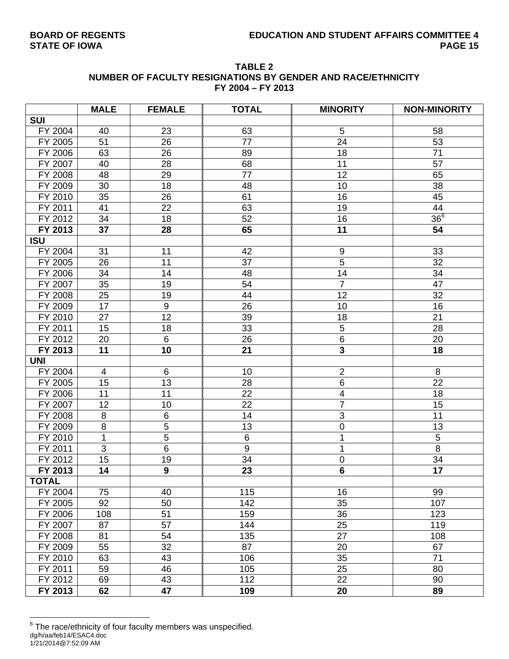| <b>TABLE 2</b>                                              |
|-------------------------------------------------------------|
| NUMBER OF FACULTY RESIGNATIONS BY GENDER AND RACE/ETHNICITY |
| FY 2004 - FY 2013                                           |

|              | <b>MALE</b>    | <b>FEMALE</b>    | <b>TOTAL</b>    | <b>MINORITY</b>           | <b>NON-MINORITY</b> |
|--------------|----------------|------------------|-----------------|---------------------------|---------------------|
| <b>SUI</b>   |                |                  |                 |                           |                     |
| FY 2004      | 40             | 23               | 63              | 5                         | 58                  |
| FY 2005      | 51             | 26               | 77              | 24                        | 53                  |
| FY 2006      | 63             | 26               | 89              | 18                        | 71                  |
| FY 2007      | 40             | 28               | 68              | 11                        | 57                  |
| FY 2008      | 48             | 29               | 77              | 12                        | 65                  |
| FY 2009      | 30             | 18               | 48              | 10                        | 38                  |
| FY 2010      | 35             | 26               | 61              | 16                        | 45                  |
| FY 2011      | 41             | 22               | 63              | 19                        | 44                  |
| FY 2012      | 34             | 18               | 52              | 16                        | 36 <sup>6</sup>     |
| FY 2013      | 37             | 28               | 65              | 11                        | 54                  |
| <b>ISU</b>   |                |                  |                 |                           |                     |
| FY 2004      | 31             | 11               | 42              | 9                         | 33                  |
| FY 2005      | 26             | 11               | 37              | 5                         | 32                  |
| FY 2006      | 34             | 14               | 48              | 14                        | 34                  |
| FY 2007      | 35             | 19               | 54              | $\overline{7}$            | 47                  |
| FY 2008      | 25             | 19               | 44              | 12                        | 32                  |
| FY 2009      | 17             | $\boldsymbol{9}$ | 26              | 10                        | 16                  |
| FY 2010      | 27             | 12               | 39              | 18                        | 21                  |
| FY 2011      | 15             | 18               | 33              | 5                         | 28                  |
| FY 2012      | 20             | 6                | 26              | 6                         | 20                  |
| FY 2013      | 11             | 10               | 21              | $\overline{\mathbf{3}}$   | 18                  |
| <b>UNI</b>   |                |                  |                 |                           |                     |
| FY 2004      | $\overline{4}$ | 6                | 10              | $\mathbf 2$               | 8                   |
| FY 2005      | 15             | 13               | 28              | $\,6$                     | 22                  |
| FY 2006      | 11             | 11               | 22              | $\overline{\mathbf{4}}$   | 18                  |
| FY 2007      | 12             | 10               | $\overline{22}$ | $\overline{7}$            | 15                  |
| FY 2008      | 8              | $\,6$            | 14              | $\ensuremath{\mathsf{3}}$ | 11                  |
| FY 2009      | 8              | $\overline{5}$   | 13              | $\pmb{0}$                 | 13                  |
| FY 2010      | 1              | 5                | 6               | 1                         | 5                   |
| FY 2011      | 3              | $\overline{6}$   | $\overline{9}$  | 1                         | $\overline{8}$      |
| FY 2012      | 15             | 19               | 34              | $\pmb{0}$                 | 34                  |
| FY 2013      | 14             | $\overline{9}$   | 23              | $6\phantom{a}$            | $\overline{17}$     |
| <b>TOTAL</b> |                |                  |                 |                           |                     |
| FY 2004      | 75             | 40               | 115             | 16                        | 99                  |
| FY 2005      | 92             | 50               | 142             | 35                        | 107                 |
| FY 2006      | 108            | 51               | 159             | 36                        | 123                 |
| FY 2007      | 87             | 57               | 144             | 25                        | 119                 |
| FY 2008      | 81             | 54               | 135             | 27                        | 108                 |
| FY 2009      | 55             | 32               | 87              | 20                        | 67                  |
| FY 2010      | 63             | 43               | 106             | 35                        | 71                  |
| FY 2011      | 59             | 46               | 105             | 25                        | 80                  |
| FY 2012      | 69             | 43               | 112             | 22                        | 90                  |
| FY 2013      | 62             | 47               | 109             | 20                        | 89                  |

dg/h/aa/feb14/ESAC4.doc 1/21/2014@7:52:09 AM 6 The race/ethnicity of four faculty members was unspecified.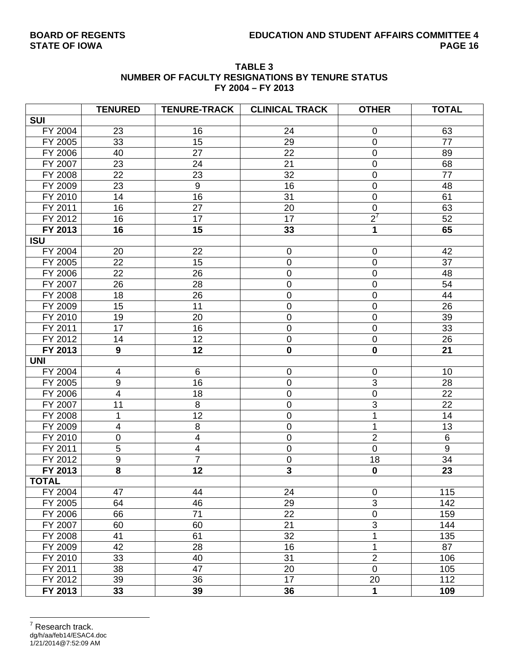| <b>TABLE 3</b>                                         |
|--------------------------------------------------------|
| <b>NUMBER OF FACULTY RESIGNATIONS BY TENURE STATUS</b> |
| FY 2004 - FY 2013                                      |

|              | <b>TENURED</b>          | <b>TENURE-TRACK</b>     | <b>CLINICAL TRACK</b>   | <b>OTHER</b>   | <b>TOTAL</b>     |
|--------------|-------------------------|-------------------------|-------------------------|----------------|------------------|
| <b>SUI</b>   |                         |                         |                         |                |                  |
| FY 2004      | 23                      | 16                      | 24                      | 0              | 63               |
| FY 2005      | 33                      | 15                      | 29                      | $\mathbf 0$    | 77               |
| FY 2006      | 40                      | 27                      | 22                      | $\mathbf 0$    | 89               |
| FY 2007      | 23                      | 24                      | 21                      | $\mathbf 0$    | 68               |
| FY 2008      | 22                      | 23                      | 32                      | $\pmb{0}$      | 77               |
| FY 2009      | 23                      | $\boldsymbol{9}$        | 16                      | $\mathbf 0$    | 48               |
| FY 2010      | 14                      | 16                      | 31                      | $\mathbf 0$    | 61               |
| FY 2011      | 16                      | 27                      | 20                      | $\pmb{0}$      | 63               |
| FY 2012      | 16                      | 17                      | 17                      | $2^7$          | 52               |
| FY 2013      | 16                      | 15                      | 33                      | 1              | 65               |
| <b>ISU</b>   |                         |                         |                         |                |                  |
| FY 2004      | 20                      | 22                      | 0                       | $\mathbf 0$    | 42               |
| FY 2005      | 22                      | 15                      | $\pmb{0}$               | $\pmb{0}$      | 37               |
| FY 2006      | 22                      | 26                      | $\pmb{0}$               | $\mathbf 0$    | 48               |
| FY 2007      | 26                      | 28                      | $\pmb{0}$               | $\mathbf 0$    | 54               |
| FY 2008      | 18                      | 26                      | $\mathsf 0$             | $\mathbf 0$    | 44               |
| FY 2009      | 15                      | 11                      | $\mathbf 0$             | $\mathbf 0$    | 26               |
| FY 2010      | 19                      | 20                      | $\pmb{0}$               | $\mathbf 0$    | 39               |
| FY 2011      | 17                      | 16                      | $\mathsf 0$             | $\pmb{0}$      | 33               |
| FY 2012      | 14                      | 12                      | $\pmb{0}$               | $\pmb{0}$      | 26               |
| FY 2013      | 9                       | 12                      | $\mathbf 0$             | $\mathbf 0$    | 21               |
| <b>UNI</b>   |                         |                         |                         |                |                  |
| FY 2004      | 4                       | 6                       | 0                       | $\mathbf 0$    | 10               |
| FY 2005      | $\boldsymbol{9}$        | 16                      | $\mathsf 0$             | $\overline{3}$ | 28               |
| FY 2006      | $\overline{4}$          | 18                      | $\pmb{0}$               | $\pmb{0}$      | 22               |
| FY 2007      | 11                      | 8                       | 0                       | 3              | 22               |
| FY 2008      | 1                       | 12                      | $\mathbf 0$             | 1              | 14               |
| FY 2009      | $\overline{4}$          | $\bf 8$                 | 0                       | 1              | 13               |
| FY 2010      | $\pmb{0}$               | $\overline{4}$          | $\mathsf 0$             | $\overline{2}$ | 6                |
| FY 2011      | 5                       | $\overline{\mathbf{4}}$ | $\pmb{0}$               | $\pmb{0}$      | $\boldsymbol{9}$ |
| FY 2012      | $\overline{9}$          | $\overline{7}$          | $\pmb{0}$               | 18             | 34               |
| FY 2013      | $\overline{\mathbf{8}}$ | 12                      | $\overline{\mathbf{3}}$ | $\mathbf 0$    | 23               |
| <b>TOTAL</b> |                         |                         |                         |                |                  |
| FY 2004      | 47                      | 44                      | 24                      | 0              | 115              |
| FY 2005      | 64                      | 46                      | 29                      | $\overline{3}$ | 142              |
| FY 2006      | 66                      | 71                      | 22                      | $\pmb{0}$      | 159              |
| FY 2007      | 60                      | 60                      | 21                      | $\overline{3}$ | 144              |
| FY 2008      | 41                      | 61                      | 32                      | 1              | 135              |
| FY 2009      | 42                      | 28                      | 16                      | 1              | 87               |
| FY 2010      | 33                      | 40                      | 31                      | $\overline{2}$ | 106              |
| FY 2011      | 38                      | 47                      | 20                      | $\pmb{0}$      | 105              |
| FY 2012      | 39                      | 36                      | 17                      | 20             | 112              |
| FY 2013      | 33                      | 39                      | 36                      | $\mathbf{1}$   | 109              |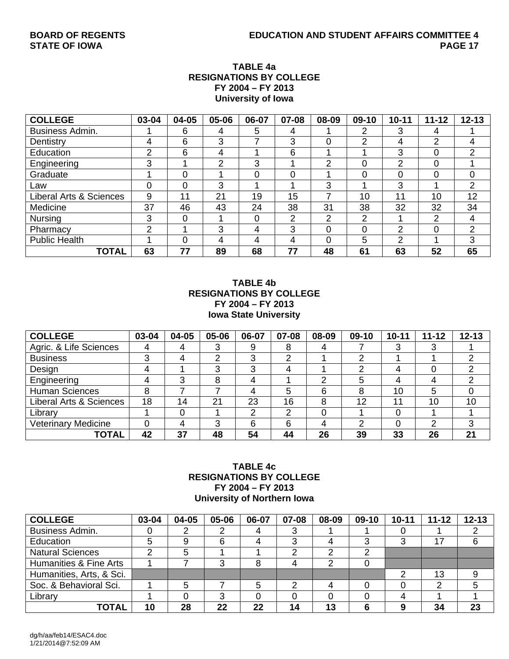## **TABLE 4a RESIGNATIONS BY COLLEGE FY 2004 – FY 2013 University of Iowa**

| <b>COLLEGE</b>          | 03-04 | 04-05 | 05-06 | 06-07 | 07-08 | 08-09 | 09-10 | $10 - 11$     | $11 - 12$ | $12 - 13$      |
|-------------------------|-------|-------|-------|-------|-------|-------|-------|---------------|-----------|----------------|
| <b>Business Admin.</b>  |       | 6     | 4     | 5     | 4     |       | 2     | 3             | 4         |                |
| Dentistry               | 4     | 6     | 3     |       | 3     |       | റ     | 4             | 2         | 4              |
| Education               | 2     | 6     | 4     |       | 6     |       |       | 3             | 0         | $\overline{2}$ |
| Engineering             | 3     |       | っ     | 3     |       | ົ     | 0     | 2             | 0         |                |
| Graduate                |       | 0     |       | 0     |       |       | 0     | $\Omega$      | 0         | $\Omega$       |
| Law                     | 0     | 0     | 3     |       |       | 3     |       | 3             | и         | 2              |
| Liberal Arts & Sciences | 9     | 11    | 21    | 19    | 15    |       | 10    | 11            | 10        | 12             |
| Medicine                | 37    | 46    | 43    | 24    | 38    | 31    | 38    | 32            | 32        | 34             |
| <b>Nursing</b>          | 3     | 0     |       | 0     | າ     | ◠     | 2     |               | 2         | 4              |
| Pharmacy                | 2     |       | 3     | 4     | 3     | 0     | 0     | 2             | 0         | $\overline{2}$ |
| <b>Public Health</b>    |       | 0     | 4     | 4     | 4     | 0     | 5     | $\mathcal{D}$ | ◢         | 3              |
| <b>TOTAL</b>            | 63    | 77    | 89    | 68    | 77    | 48    | 61    | 63            | 52        | 65             |

### **TABLE 4b RESIGNATIONS BY COLLEGE FY 2004 – FY 2013 Iowa State University**

| <b>COLLEGE</b>                     | 03-04 | 04-05 | 05-06 | 06-07 | 07-08 | 08-09 | $09-10$ | $10 - 11$ | $11 - 12$ | $12 - 13$ |
|------------------------------------|-------|-------|-------|-------|-------|-------|---------|-----------|-----------|-----------|
| Agric. & Life Sciences             |       |       |       | 9     | 8     | 4     |         |           |           |           |
| <b>Business</b>                    | ົ     |       | ◠     | 3     | າ     |       | ⌒       |           |           | ⌒         |
| Design                             |       |       | ົ     | 3     |       |       | ົ       |           |           | ⌒         |
| Engineering                        |       |       |       | 4     |       | っ     | 5       | 4         |           | ⌒         |
| <b>Human Sciences</b>              | 8     |       |       | 4     | 5     | 6     | 8       | 10        | 5         | 0         |
| <b>Liberal Arts &amp; Sciences</b> | 18    | 14    | 21    | 23    | 16    | 8     | 12      | 11        | 10        | 10        |
| Library                            |       |       |       | ⌒     | າ     |       |         |           |           |           |
| <b>Veterinary Medicine</b>         |       |       | 3     | 6     | 6     | 4     | ົ       |           | ⌒         | 3         |
| TOTAL                              | 42    | 37    | 48    | 54    | 44    | 26    | 39      | 33        | 26        | 21        |

## **TABLE 4c RESIGNATIONS BY COLLEGE FY 2004 – FY 2013 University of Northern Iowa**

| <b>COLLEGE</b>           | 03-04 | 04-05 | 05-06 | 06-07 | 07-08 | 08-09 | $09-10$ | $10 - 11$ | $11 - 12$ | $12 - 13$ |
|--------------------------|-------|-------|-------|-------|-------|-------|---------|-----------|-----------|-----------|
| Business Admin.          |       |       |       |       |       |       |         |           |           |           |
| Education                |       | 9     | 6     |       |       |       |         |           | 17        | 6         |
| <b>Natural Sciences</b>  |       | 5     |       |       |       |       |         |           |           |           |
| Humanities & Fine Arts   |       |       |       |       |       |       |         |           |           |           |
| Humanities, Arts, & Sci. |       |       |       |       |       |       |         | റ         | 13        | 9         |
| Soc. & Behavioral Sci.   |       | 5     |       |       |       |       |         |           | 2         | 5         |
| Library                  |       |       |       |       |       |       |         |           |           |           |
| TOTAL                    | 10    | 28    | 22    | 22    | 14    | 13    |         |           | 34        | 23        |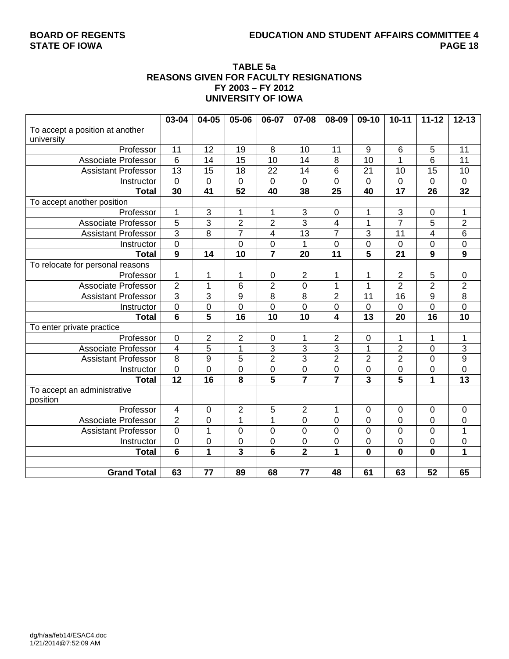## **BOARD OF REGENTS EDUCATION AND STUDENT AFFAIRS COMMITTEE 4**

### **TABLE 5a REASONS GIVEN FOR FACULTY RESIGNATIONS FY 2003 – FY 2012 UNIVERSITY OF IOWA**

|                                  | 03-04                   | 04-05                     | 05-06                   | 06-07                   | 07-08            | 08-09                   | 09-10                   | $10 - 11$               | $11 - 12$               | $12 - 13$       |
|----------------------------------|-------------------------|---------------------------|-------------------------|-------------------------|------------------|-------------------------|-------------------------|-------------------------|-------------------------|-----------------|
| To accept a position at another  |                         |                           |                         |                         |                  |                         |                         |                         |                         |                 |
| university                       |                         |                           |                         |                         |                  |                         |                         |                         |                         |                 |
| Professor                        | 11                      | 12                        | 19                      | 8                       | 10               | 11                      | $\boldsymbol{9}$        | 6                       | 5                       | 11              |
| Associate Professor              | 6                       | 14                        | 15                      | 10                      | 14               | 8                       | 10                      | 1                       | 6                       | 11              |
| <b>Assistant Professor</b>       | 13                      | 15                        | 18                      | 22                      | 14               | 6                       | 21                      | 10                      | 15                      | 10              |
| Instructor                       | $\mathbf 0$             | 0                         | $\overline{0}$          | $\mathbf 0$             | $\overline{0}$   | $\overline{0}$          | 0                       | $\mathbf 0$             | $\mathbf 0$             | $\mathbf 0$     |
| <b>Total</b>                     | 30                      | $\overline{41}$           | $\overline{52}$         | 40                      | 38               | $\overline{25}$         | 40                      | $\overline{17}$         | $\overline{26}$         | $\overline{32}$ |
| To accept another position       |                         |                           |                         |                         |                  |                         |                         |                         |                         |                 |
| Professor                        | 1                       | $\ensuremath{\mathsf{3}}$ | 1                       | 1                       | 3                | $\pmb{0}$               | 1                       | 3                       | $\mathbf 0$             | 1               |
| <b>Associate Professor</b>       | $\overline{5}$          | 3                         | $\overline{2}$          | $\overline{2}$          | 3                | $\overline{\mathbf{4}}$ | 1                       | $\overline{7}$          | 5                       | $\overline{2}$  |
| <b>Assistant Professor</b>       | $\overline{3}$          | 8                         | $\overline{7}$          | 4                       | 13               | $\overline{7}$          | 3                       | 11                      | $\overline{\mathbf{4}}$ | 6               |
| Instructor                       | $\overline{0}$          |                           | $\overline{0}$          | $\overline{0}$          | 1                | $\overline{0}$          | $\overline{0}$          | $\overline{0}$          | $\overline{0}$          | 0               |
| <b>Total</b>                     | $\overline{9}$          | 14                        | $\overline{10}$         | $\overline{7}$          | 20               | $\overline{11}$         | 5                       | $\overline{21}$         | 9                       | $\overline{9}$  |
| To relocate for personal reasons |                         |                           |                         |                         |                  |                         |                         |                         |                         |                 |
| Professor                        | $\mathbf{1}$            | 1                         | 1                       | $\pmb{0}$               | $\overline{2}$   | 1                       | 1                       | $\overline{2}$          | 5                       | $\pmb{0}$       |
| <b>Associate Professor</b>       | $\overline{2}$          | 1                         | 6                       | $\overline{2}$          | 0                | $\mathbf 1$             | 1                       | $\overline{2}$          | $\overline{2}$          | $\overline{c}$  |
| <b>Assistant Professor</b>       | $\overline{3}$          | 3                         | 9                       | 8                       | 8                | $\overline{2}$          | 11                      | 16                      | 9                       | 8               |
| Instructor                       | $\overline{0}$          | 0                         | $\overline{0}$          | 0                       | 0                | $\overline{0}$          | 0                       | 0                       | $\overline{0}$          | 0               |
| <b>Total</b>                     | $\overline{6}$          | 5                         | 16                      | 10                      | 10               | 4                       | 13                      | 20                      | 16                      | 10              |
| To enter private practice        |                         |                           |                         |                         |                  |                         |                         |                         |                         |                 |
| Professor                        | $\mathbf 0$             | $\overline{2}$            | $\overline{2}$          | $\mathbf 0$             | 1                | $\overline{2}$          | 0                       | 1                       | 1                       | 1               |
| Associate Professor              | $\overline{\mathbf{4}}$ | $\overline{5}$            | $\mathbf{1}$            | 3                       | 3                | $\overline{3}$          | $\mathbf 1$             | $\overline{2}$          | $\mathbf 0$             | 3               |
| <b>Assistant Professor</b>       | $\overline{8}$          | 9                         | 5                       | $\overline{2}$          | 3                | $\overline{2}$          | $\overline{2}$          | $\overline{2}$          | $\mathbf 0$             | $\overline{9}$  |
| Instructor                       | $\mathbf 0$             | $\mathbf 0$               | $\mathbf 0$             | 0                       | $\boldsymbol{0}$ | $\mathbf 0$             | $\mathbf 0$             | 0                       | $\mathbf 0$             | 0               |
| <b>Total</b>                     | $\overline{12}$         | 16                        | $\overline{\mathbf{8}}$ | $\overline{\mathbf{5}}$ | $\overline{7}$   |                         | $\overline{\mathbf{3}}$ | $\overline{\mathbf{5}}$ | $\overline{1}$          | 13              |
| To accept an administrative      |                         |                           |                         |                         |                  |                         |                         |                         |                         |                 |
| position                         |                         |                           |                         |                         |                  |                         |                         |                         |                         |                 |
| Professor                        | 4                       | $\pmb{0}$                 | $\overline{2}$          | 5                       | $\boldsymbol{2}$ | 1                       | 0                       | $\mathbf 0$             | $\mathbf 0$             | 0               |
| Associate Professor              | $\overline{2}$          | $\mathbf 0$               | $\mathbf 1$             | $\mathbf{1}$            | $\overline{0}$   | $\overline{0}$          | $\overline{0}$          | $\overline{0}$          | $\overline{0}$          | 0               |
| <b>Assistant Professor</b>       | $\overline{0}$          | 1                         | $\mathbf 0$             | 0                       | 0                | $\mathbf 0$             | 0                       | 0                       | 0                       | $\mathbf 1$     |
| Instructor                       | $\mathbf 0$             | $\pmb{0}$                 | $\mathbf 0$             | 0                       | 0                | 0                       | 0                       | 0                       | 0                       | 0               |
| <b>Total</b>                     | $\overline{6}$          | $\mathbf{1}$              | $\overline{\mathbf{3}}$ | $6\phantom{1}6$         | $\overline{2}$   | $\mathbf{1}$            | $\mathbf 0$             | $\mathbf 0$             | $\mathbf 0$             | 1               |
|                                  |                         |                           |                         |                         |                  |                         |                         |                         |                         |                 |
| <b>Grand Total</b>               | 63                      | 77                        | 89                      | 68                      | 77               | 48                      | 61                      | 63                      | 52                      | 65              |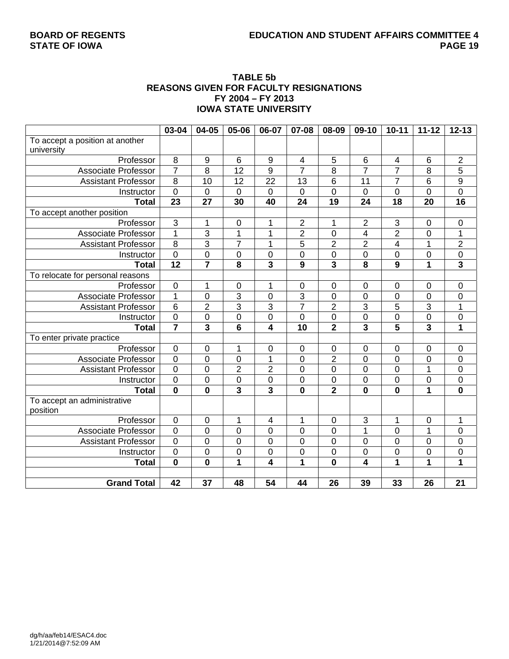## **BOARD OF REGENTS EDUCATION AND STUDENT AFFAIRS COMMITTEE 4**

#### **TABLE 5b REASONS GIVEN FOR FACULTY RESIGNATIONS FY 2004 – FY 2013 IOWA STATE UNIVERSITY**

|                                  | 03-04            | 04-05                   | 05-06                   | 06-07                   | 07-08            | 08-09                   | 09-10                   | $10 - 11$      | $11 - 12$               | $12 - 13$               |
|----------------------------------|------------------|-------------------------|-------------------------|-------------------------|------------------|-------------------------|-------------------------|----------------|-------------------------|-------------------------|
| To accept a position at another  |                  |                         |                         |                         |                  |                         |                         |                |                         |                         |
| university                       |                  |                         |                         |                         |                  |                         |                         |                |                         |                         |
| Professor                        | $\,8\,$          | 9                       | 6                       | $9\,$                   | 4                | 5                       | 6                       | $\overline{4}$ | 6                       | $\overline{2}$          |
| <b>Associate Professor</b>       | $\overline{7}$   | 8                       | 12                      | $\boldsymbol{9}$        | $\overline{7}$   | 8                       | $\overline{7}$          | 7              | 8                       | 5                       |
| <b>Assistant Professor</b>       | $\overline{8}$   | 10                      | 12                      | $\overline{22}$         | $\overline{13}$  | 6                       | 11                      | $\overline{7}$ | $\overline{6}$          | $\overline{9}$          |
| Instructor                       | $\overline{0}$   | 0                       | $\mathbf 0$             | $\mathbf 0$             | $\mathbf 0$      | $\overline{0}$          | $\mathbf 0$             | 0              | $\mathbf 0$             | $\overline{0}$          |
| <b>Total</b>                     | 23               | 27                      | 30                      | 40                      | 24               | $\overline{19}$         | 24                      | 18             | 20                      | $\overline{16}$         |
| To accept another position       |                  |                         |                         |                         |                  |                         |                         |                |                         |                         |
| Professor                        | $\overline{3}$   | 1                       | $\mathbf 0$             | 1                       | $\overline{2}$   | 1                       | $\overline{2}$          | $\sqrt{3}$     | $\mathbf 0$             | $\boldsymbol{0}$        |
| <b>Associate Professor</b>       | $\mathbf{1}$     | $\overline{3}$          | 1                       | 1                       | $\overline{2}$   | 0                       | $\overline{4}$          | $\overline{2}$ | $\mathbf 0$             | $\mathbf 1$             |
| <b>Assistant Professor</b>       | $\overline{8}$   | $\overline{3}$          | $\overline{7}$          | 1                       | 5                | $\overline{2}$          | $\overline{2}$          | 4              | $\mathbf 1$             | $\overline{2}$          |
| Instructor                       | $\overline{0}$   | $\mathbf 0$             | $\mathbf 0$             | $\mathbf 0$             | $\mathbf 0$      | $\mathbf 0$             | $\mathbf 0$             | 0              | $\mathbf 0$             | $\overline{0}$          |
| <b>Total</b>                     | 12               | $\overline{7}$          | 8                       | $\overline{\mathbf{3}}$ | 9                | $\overline{\mathbf{3}}$ | 8                       | 9              | 1                       | $\overline{\mathbf{3}}$ |
| To relocate for personal reasons |                  |                         |                         |                         |                  |                         |                         |                |                         |                         |
| Professor                        | $\mathbf 0$      | 1                       | $\mathbf 0$             | 1                       | $\mathbf 0$      | 0                       | $\mathbf 0$             | $\mathbf 0$    | $\mathbf 0$             | 0                       |
| <b>Associate Professor</b>       | 1                | 0                       | $\overline{3}$          | $\mathsf{O}\xspace$     | 3                | $\mathbf 0$             | 0                       | 0              | $\mathsf{O}\xspace$     | 0                       |
| <b>Assistant Professor</b>       | $\overline{6}$   | $\overline{c}$          | $\overline{3}$          | 3                       | $\overline{7}$   | $\overline{2}$          | 3                       | 5              | $\overline{3}$          | $\mathbf 1$             |
| Instructor                       | $\mathbf 0$      | 0                       | $\mathbf 0$             | $\mathsf{O}\xspace$     | $\mathbf 0$      | $\overline{0}$          | $\mathbf 0$             | 0              | $\mathbf 0$             | $\overline{0}$          |
| <b>Total</b>                     | $\overline{7}$   | $\overline{\mathbf{3}}$ | $6\phantom{1}$          | 4                       | 10               | $\overline{2}$          | 3                       | 5              | $\overline{\mathbf{3}}$ | 1                       |
| To enter private practice        |                  |                         |                         |                         |                  |                         |                         |                |                         |                         |
| Professor                        | $\mathbf 0$      | $\pmb{0}$               | 1                       | $\pmb{0}$               | $\mathbf 0$      | 0                       | $\mathbf 0$             | $\mathbf 0$    | $\mathbf 0$             | 0                       |
| <b>Associate Professor</b>       | $\overline{0}$   | 0                       | $\mathbf 0$             | $\overline{1}$          | $\mathbf 0$      | $\overline{2}$          | $\mathbf 0$             | $\overline{0}$ | $\mathbf 0$             | $\boldsymbol{0}$        |
| <b>Assistant Professor</b>       | $\mathbf 0$      | 0                       | $\overline{2}$          | $\overline{2}$          | $\mathbf 0$      | $\boldsymbol{0}$        | $\mathbf 0$             | 0              | 1                       | $\pmb{0}$               |
| Instructor                       | $\boldsymbol{0}$ | $\mathbf 0$             | $\boldsymbol{0}$        | $\mathsf 0$             | $\boldsymbol{0}$ | $\mathbf 0$             | $\boldsymbol{0}$        | $\pmb{0}$      | $\boldsymbol{0}$        | $\pmb{0}$               |
| <b>Total</b>                     | $\mathbf 0$      | $\mathbf 0$             | $\overline{\mathbf{3}}$ | 3                       | $\mathbf 0$      | $\overline{2}$          | $\mathbf 0$             | $\mathbf{0}$   | 1                       | $\mathbf{0}$            |
| To accept an administrative      |                  |                         |                         |                         |                  |                         |                         |                |                         |                         |
| position                         |                  |                         |                         |                         |                  |                         |                         |                |                         |                         |
| Professor                        | $\boldsymbol{0}$ | 0                       | 1                       | $\overline{4}$          | 1                | 0                       | 3                       | 1              | $\mathbf 0$             | 1                       |
| Associate Professor              | $\overline{0}$   | 0                       | $\overline{0}$          | $\overline{0}$          | $\overline{0}$   | $\overline{0}$          | $\overline{1}$          | 0              | 1                       | 0                       |
| <b>Assistant Professor</b>       | $\overline{0}$   | 0                       | $\mathbf 0$             | $\mathbf 0$             | $\mathbf 0$      | 0                       | $\mathbf 0$             | $\mathbf 0$    | $\mathbf 0$             | $\mathbf 0$             |
| Instructor                       | $\mathbf 0$      | 0                       | $\mathbf 0$             | $\pmb{0}$               | $\pmb{0}$        | 0                       | 0                       | 0              | $\mathbf 0$             | $\pmb{0}$               |
| <b>Total</b>                     | $\mathbf 0$      | $\mathbf 0$             | $\overline{\mathbf{1}}$ | $\overline{\mathbf{4}}$ | 1                | $\mathbf{0}$            | $\overline{\mathbf{4}}$ | 1              | 1                       | $\overline{1}$          |
|                                  |                  |                         |                         |                         |                  |                         |                         |                |                         |                         |
| <b>Grand Total</b>               | $\overline{42}$  | $\overline{37}$         | 48                      | $\overline{54}$         | 44               | $\overline{26}$         | 39                      | 33             | 26                      | $\overline{21}$         |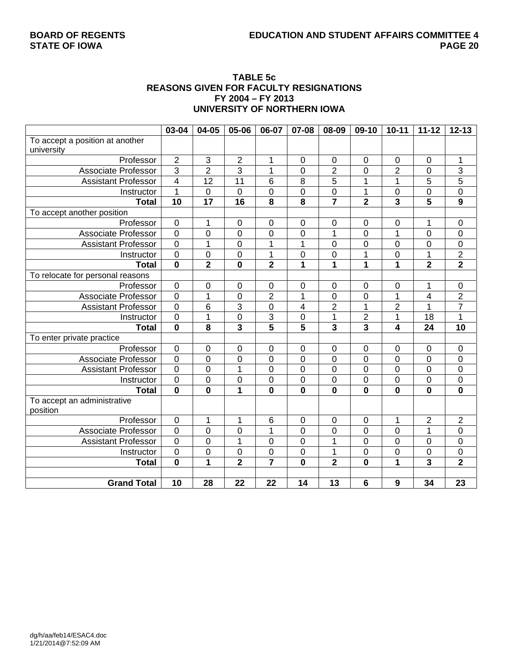#### **TABLE 5c REASONS GIVEN FOR FACULTY RESIGNATIONS FY 2004 – FY 2013 UNIVERSITY OF NORTHERN IOWA**

|                                  | 03-04                   | 04-05                     | 05-06                   | 06-07                   | 07-08                   | 08-09                   | $09-10$                 | $10 - 11$               | $11 - 12$               | $12 - 13$       |
|----------------------------------|-------------------------|---------------------------|-------------------------|-------------------------|-------------------------|-------------------------|-------------------------|-------------------------|-------------------------|-----------------|
| To accept a position at another  |                         |                           |                         |                         |                         |                         |                         |                         |                         |                 |
| university                       |                         |                           |                         |                         |                         |                         |                         |                         |                         |                 |
| Professor                        | $\overline{2}$          | $\ensuremath{\mathsf{3}}$ | $\overline{2}$          | 1                       | $\mathbf 0$             | $\boldsymbol{0}$        | $\mathbf 0$             | $\pmb{0}$               | $\mathbf 0$             | 1               |
| <b>Associate Professor</b>       | $\overline{3}$          | $\overline{2}$            | 3                       | $\overline{1}$          | 0                       | $\overline{2}$          | 0                       | $\overline{2}$          | $\mathbf 0$             | 3               |
| <b>Assistant Professor</b>       | $\overline{4}$          | 12                        | $\overline{11}$         | 6                       | 8                       | $\overline{5}$          | 1                       | $\overline{1}$          | 5                       | $\overline{5}$  |
| Instructor                       | $\mathbf{1}$            | $\mathbf 0$               | $\mathbf 0$             | $\mathbf 0$             | $\mathbf 0$             | 0                       | 1                       | $\mathbf 0$             | $\overline{0}$          | $\overline{0}$  |
| <b>Total</b>                     | 10                      | $\overline{17}$           | $\overline{16}$         | $\overline{\mathbf{8}}$ | $\overline{\mathbf{8}}$ | $\overline{\mathbf{7}}$ | $\overline{\mathbf{2}}$ | $\overline{\mathbf{3}}$ | $\overline{5}$          | $\overline{9}$  |
| To accept another position       |                         |                           |                         |                         |                         |                         |                         |                         |                         |                 |
| Professor                        | $\mathbf 0$             | 1                         | 0                       | $\mathbf 0$             | $\mathbf 0$             | 0                       | $\mathbf 0$             | $\mathbf 0$             | 1                       | $\pmb{0}$       |
| <b>Associate Professor</b>       | $\overline{0}$          | 0                         | $\mathbf 0$             | $\mathbf 0$             | $\mathbf 0$             | 1                       | $\mathbf 0$             | 1                       | $\overline{0}$          | $\pmb{0}$       |
| <b>Assistant Professor</b>       | $\overline{0}$          | $\mathbf 1$               | $\mathbf 0$             | $\overline{1}$          | 1                       | 0                       | $\mathbf 0$             | 0                       | $\mathbf 0$             | $\mathbf 0$     |
| Instructor                       | $\overline{0}$          | $\mathbf 0$               | $\overline{0}$          | $\overline{1}$          | $\mathbf 0$             | 0                       | $\overline{1}$          | $\overline{0}$          | $\overline{1}$          | $\overline{2}$  |
| <b>Total</b>                     | $\mathbf 0$             | $\overline{2}$            | $\mathbf 0$             | $\overline{\mathbf{2}}$ | 1                       | 1                       | 1                       | 1                       | $\overline{\mathbf{2}}$ | $\overline{2}$  |
| To relocate for personal reasons |                         |                           |                         |                         |                         |                         |                         |                         |                         |                 |
| Professor                        | $\mathbf 0$             | 0                         | 0                       | $\pmb{0}$               | $\boldsymbol{0}$        | 0                       | 0                       | $\boldsymbol{0}$        | 1                       | $\mathbf 0$     |
| <b>Associate Professor</b>       | $\mathbf 0$             | $\overline{1}$            | $\mathbf 0$             | $\overline{2}$          | 1                       | 0                       | 0                       | $\mathbf 1$             | $\overline{4}$          | $\overline{2}$  |
| <b>Assistant Professor</b>       | $\overline{0}$          | 6                         | 3                       | 0                       | 4                       | $\overline{c}$          | 1                       | $\overline{2}$          | 1                       | $\overline{7}$  |
| Instructor                       | $\mathbf 0$             | 1                         | 0                       | $\overline{3}$          | $\mathbf 0$             | 1                       | $\overline{2}$          | 1                       | 18                      | 1               |
| <b>Total</b>                     | $\overline{\mathbf{0}}$ | 8                         | $\overline{\mathbf{3}}$ | $\overline{\mathbf{5}}$ | 5                       | $\overline{\mathbf{3}}$ | $\overline{\mathbf{3}}$ | 4                       | 24                      | $\overline{10}$ |
| To enter private practice        |                         |                           |                         |                         |                         |                         |                         |                         |                         |                 |
| Professor                        | $\pmb{0}$               | $\mathbf 0$               | 0                       | $\pmb{0}$               | $\pmb{0}$               | $\pmb{0}$               | $\mathbf 0$             | $\pmb{0}$               | $\mathbf 0$             | $\pmb{0}$       |
| <b>Associate Professor</b>       | $\mathbf 0$             | 0                         | $\mathbf 0$             | $\mathbf 0$             | $\pmb{0}$               | 0                       | $\mathbf 0$             | $\mathbf 0$             | $\mathbf 0$             | $\pmb{0}$       |
| <b>Assistant Professor</b>       | $\overline{0}$          | 0                         | $\mathbf 1$             | $\mathbf 0$             | $\pmb{0}$               | 0                       | $\mathbf 0$             | 0                       | $\mathbf 0$             | $\mathsf 0$     |
| Instructor                       | $\pmb{0}$               | $\boldsymbol{0}$          | $\boldsymbol{0}$        | $\pmb{0}$               | $\pmb{0}$               | 0                       | $\pmb{0}$               | $\boldsymbol{0}$        | $\mathbf 0$             | $\mathsf 0$     |
| <b>Total</b>                     | $\mathbf 0$             | $\mathbf 0$               | 1                       | $\mathbf 0$             | $\mathbf{0}$            | $\mathbf{0}$            | $\mathbf 0$             | $\mathbf 0$             | $\mathbf 0$             | $\mathbf 0$     |
| To accept an administrative      |                         |                           |                         |                         |                         |                         |                         |                         |                         |                 |
| position                         |                         |                           |                         |                         |                         |                         |                         |                         |                         |                 |
| Professor                        | $\mathbf 0$             | 1                         | 1                       | $6\phantom{1}6$         | $\overline{0}$          | 0                       | $\mathbf 0$             | $\mathbf{1}$            | $\overline{2}$          | $\overline{2}$  |
| <b>Associate Professor</b>       | $\overline{0}$          | 0                         | $\overline{0}$          | $\overline{1}$          | $\overline{0}$          | 0                       | $\overline{0}$          | $\mathbf 0$             | $\mathbf{1}$            | $\mathsf 0$     |
| <b>Assistant Professor</b>       | $\overline{0}$          | $\overline{0}$            | $\overline{1}$          | $\mathbf 0$             | $\mathbf 0$             | $\overline{1}$          | $\overline{0}$          | $\overline{0}$          | $\overline{0}$          | $\overline{0}$  |
| Instructor                       | $\mathbf 0$             | 0                         | $\boldsymbol{0}$        | $\mathbf 0$             | $\pmb{0}$               | 1                       | $\boldsymbol{0}$        | $\boldsymbol{0}$        | $\mathbf 0$             | $\overline{0}$  |
| <b>Total</b>                     | $\mathbf{0}$            | $\overline{1}$            | $\overline{2}$          | $\overline{7}$          | 0                       | $\overline{2}$          | 0                       | 1                       | 3                       | $\overline{2}$  |
|                                  |                         |                           |                         |                         |                         |                         |                         |                         |                         |                 |
| <b>Grand Total</b>               | $\overline{10}$         | 28                        | $\overline{22}$         | $\overline{22}$         | $\overline{14}$         | $\overline{13}$         | 6                       | 9                       | $\overline{34}$         | $\overline{23}$ |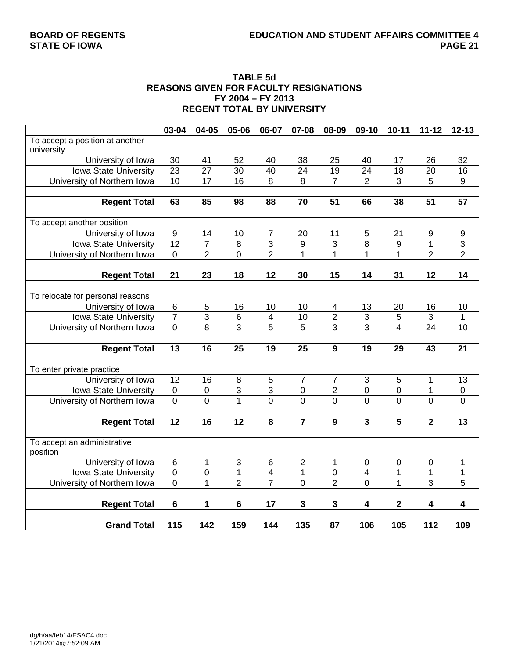#### **TABLE 5d REASONS GIVEN FOR FACULTY RESIGNATIONS FY 2004 – FY 2013 REGENT TOTAL BY UNIVERSITY**

|                                  | 03-04            | 04-05           | 05-06           | 06-07          | 07-08            | 08-09                   | 09-10                     | $10 - 11$      | $11 - 12$               | $12 - 13$       |
|----------------------------------|------------------|-----------------|-----------------|----------------|------------------|-------------------------|---------------------------|----------------|-------------------------|-----------------|
| To accept a position at another  |                  |                 |                 |                |                  |                         |                           |                |                         |                 |
| university                       |                  |                 |                 |                |                  |                         |                           |                |                         |                 |
| University of Iowa               | 30               | 41              | 52              | 40             | 38               | 25                      | 40                        | 17             | 26                      | 32              |
| Iowa State University            | $\overline{23}$  | $\overline{27}$ | $\overline{30}$ | 40             | $\overline{24}$  | $\overline{19}$         | 24                        | 18             | 20                      | 16              |
| University of Northern Iowa      | 10               | $\overline{17}$ | $\overline{16}$ | 8              | $\overline{8}$   | $\overline{7}$          | $\overline{2}$            | $\overline{3}$ | $\overline{5}$          | $\overline{9}$  |
|                                  |                  |                 |                 |                |                  |                         |                           |                |                         |                 |
| <b>Regent Total</b>              | 63               | 85              | 98              | 88             | 70               | 51                      | 66                        | 38             | 51                      | 57              |
|                                  |                  |                 |                 |                |                  |                         |                           |                |                         |                 |
| To accept another position       |                  |                 |                 |                |                  |                         |                           |                |                         |                 |
| University of Iowa               | $\boldsymbol{9}$ | 14              | 10              | $\overline{7}$ | 20               | 11                      | 5                         | 21             | 9                       | 9               |
| Iowa State University            | $\overline{12}$  | $\overline{7}$  | $\,8\,$         | $\overline{3}$ | $\boldsymbol{9}$ | 3                       | 8                         | 9              | 1                       | $\frac{3}{2}$   |
| University of Northern Iowa      | $\mathbf 0$      | $\overline{2}$  | $\overline{0}$  | $\overline{2}$ | $\overline{1}$   | $\overline{1}$          | 1                         | $\mathbf{1}$   | $\overline{2}$          |                 |
|                                  |                  |                 |                 |                |                  |                         |                           |                |                         |                 |
| <b>Regent Total</b>              | 21               | 23              | 18              | 12             | 30               | 15                      | 14                        | 31             | 12                      | 14              |
|                                  |                  |                 |                 |                |                  |                         |                           |                |                         |                 |
| To relocate for personal reasons |                  |                 |                 |                |                  |                         |                           |                |                         |                 |
| University of Iowa               | $\,6$            | 5               | 16              | 10             | 10               | $\overline{\mathbf{4}}$ | 13                        | $20\,$         | 16                      | 10              |
| Iowa State University            | $\overline{7}$   | 3               | $\,6$           | 4              | 10               | $\overline{2}$          | $\sqrt{3}$                | $\mathbf 5$    | $\mathbf{3}$            | 1               |
| University of Northern Iowa      | $\overline{0}$   | $\overline{8}$  | $\overline{3}$  | 5              | $\overline{5}$   | $\overline{3}$          | $\overline{3}$            | $\overline{4}$ | $\overline{24}$         | $\overline{10}$ |
|                                  |                  |                 |                 |                |                  |                         |                           |                |                         |                 |
| <b>Regent Total</b>              | 13               | 16              | 25              | 19             | 25               | 9                       | 19                        | 29             | 43                      | 21              |
|                                  |                  |                 |                 |                |                  |                         |                           |                |                         |                 |
| To enter private practice        |                  |                 |                 |                |                  |                         |                           |                |                         |                 |
| University of Iowa               | 12               | 16              | $\,8\,$         | $\mathbf 5$    | $\overline{7}$   | 7                       | $\ensuremath{\mathsf{3}}$ | 5              | 1                       | 13              |
| Iowa State University            | $\overline{0}$   | $\overline{0}$  | $\overline{3}$  | $\overline{3}$ | $\overline{0}$   | $\overline{2}$          | $\overline{0}$            | $\overline{0}$ | $\overline{1}$          | $\overline{0}$  |
| University of Northern Iowa      | $\mathbf 0$      | $\overline{0}$  | $\overline{1}$  | $\overline{0}$ | $\overline{0}$   | $\overline{0}$          | 0                         | 0              | $\overline{0}$          | $\mathbf 0$     |
|                                  |                  |                 |                 |                |                  |                         |                           |                |                         |                 |
| <b>Regent Total</b>              | 12               | 16              | 12              | 8              | $\overline{7}$   | 9                       | 3                         | 5              | $\overline{\mathbf{2}}$ | 13              |
|                                  |                  |                 |                 |                |                  |                         |                           |                |                         |                 |
| To accept an administrative      |                  |                 |                 |                |                  |                         |                           |                |                         |                 |
| position                         |                  |                 |                 |                |                  |                         |                           |                |                         |                 |
| University of Iowa               | $\,6$            | 1               | $\mathsf 3$     | 6              | $\overline{2}$   | 1                       | 0                         | $\pmb{0}$      | $\pmb{0}$               | 1               |
| Iowa State University            | $\overline{0}$   | $\pmb{0}$       | $\overline{1}$  | 4              | $\mathbf 1$      | $\overline{0}$          | 4                         | 1              | 1                       | 1               |
| University of Northern Iowa      | $\overline{0}$   | $\overline{1}$  | $\overline{2}$  | $\overline{7}$ | $\overline{0}$   | $\overline{2}$          | 0                         | $\overline{1}$ | $\overline{3}$          | $\overline{5}$  |
|                                  |                  |                 |                 |                |                  |                         |                           |                |                         |                 |
| <b>Regent Total</b>              | $6\phantom{1}$   | 1               | $6\phantom{1}$  | 17             | $\mathbf{3}$     | 3                       | 4                         | $\mathbf 2$    | 4                       | 4               |
|                                  |                  |                 |                 |                |                  |                         |                           |                |                         |                 |
| <b>Grand Total</b>               | 115              | 142             | 159             | 144            | 135              | 87                      | 106                       | 105            | 112                     | 109             |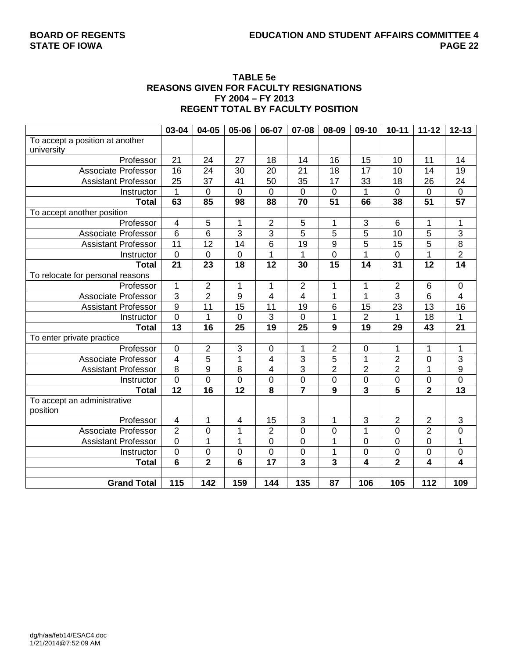#### **TABLE 5e REASONS GIVEN FOR FACULTY RESIGNATIONS FY 2004 – FY 2013 REGENT TOTAL BY FACULTY POSITION**

|                                  | 03-04                   | 04-05          | 05-06                   | 06-07                   | 07-08           | 08-09           | 09-10            | $10 - 11$               | $11 - 12$        | $12 - 13$        |
|----------------------------------|-------------------------|----------------|-------------------------|-------------------------|-----------------|-----------------|------------------|-------------------------|------------------|------------------|
| To accept a position at another  |                         |                |                         |                         |                 |                 |                  |                         |                  |                  |
| university                       |                         |                |                         |                         |                 |                 |                  |                         |                  |                  |
| Professor                        | 21                      | 24             | 27                      | 18                      | 14              | 16              | 15               | 10                      | 11               | 14               |
| <b>Associate Professor</b>       | 16                      | 24             | 30                      | 20                      | 21              | 18              | 17               | 10                      | 14               | 19               |
| <b>Assistant Professor</b>       | $\overline{25}$         | 37             | 41                      | 50                      | 35              | 17              | 33               | 18                      | 26               | $\overline{24}$  |
| Instructor                       | $\mathbf{1}$            | $\mathbf 0$    | $\mathbf 0$             | $\mathbf 0$             | $\mathbf 0$     | 0               | 1                | $\overline{0}$          | $\overline{0}$   | $\boldsymbol{0}$ |
| <b>Total</b>                     | 63                      | 85             | $\overline{98}$         | 88                      | $\overline{70}$ | $\overline{51}$ | 66               | 38                      | $\overline{51}$  | $\overline{57}$  |
| To accept another position       |                         |                |                         |                         |                 |                 |                  |                         |                  |                  |
| Professor                        | $\overline{\mathbf{4}}$ | 5              | 1                       | $\overline{2}$          | 5               | 1               | $\mathsf 3$      | 6                       | 1                | 1                |
| <b>Associate Professor</b>       | 6                       | 6              | 3                       | $\sqrt{3}$              | 5               | 5               | 5                | 10                      | 5                | 3                |
| <b>Assistant Professor</b>       | 11                      | 12             | 14                      | 6                       | 19              | 9               | 5                | 15                      | 5                | $\overline{8}$   |
| Instructor                       | $\mathbf 0$             | 0              | $\mathbf 0$             | $\mathbf{1}$            | 1               | 0               | 1                | $\mathbf 0$             | 1                | $\overline{2}$   |
| <b>Total</b>                     | $\overline{21}$         | 23             | $\overline{18}$         | $\overline{12}$         | 30              | $\overline{15}$ | 14               | $\overline{31}$         | $\overline{12}$  | 14               |
| To relocate for personal reasons |                         |                |                         |                         |                 |                 |                  |                         |                  |                  |
| Professor                        | 1                       | $\overline{2}$ | 1                       | 1                       | 2               | 1               | 1                | $\overline{c}$          | 6                | $\boldsymbol{0}$ |
| <b>Associate Professor</b>       | $\overline{3}$          | $\overline{2}$ | 9                       | 4                       | 4               | 1               | 1                | $\overline{3}$          | $\overline{6}$   | $\overline{4}$   |
| <b>Assistant Professor</b>       | $\overline{9}$          | 11             | 15                      | 11                      | 19              | $\,6$           | 15               | 23                      | 13               | 16               |
| Instructor                       | $\overline{0}$          | $\mathbf{1}$   | 0                       | 3                       | $\mathbf 0$     | 1               | $\overline{2}$   | $\mathbf{1}$            | 18               | 1                |
| <b>Total</b>                     | 13                      | 16             | 25                      | 19                      | 25              | 9               | 19               | 29                      | 43               | 21               |
| To enter private practice        |                         |                |                         |                         |                 |                 |                  |                         |                  |                  |
| Professor                        | $\pmb{0}$               | $\overline{2}$ | 3                       | $\pmb{0}$               | 1               | $\overline{2}$  | $\pmb{0}$        | 1                       | $\mathbf 1$      | 1                |
| <b>Associate Professor</b>       | $\overline{4}$          | $\overline{5}$ | $\overline{1}$          | $\overline{\mathbf{4}}$ | $\overline{3}$  | $\overline{5}$  | $\mathbf 1$      | $\overline{2}$          | $\overline{0}$   | $\overline{3}$   |
| <b>Assistant Professor</b>       | $\overline{8}$          | 9              | 8                       | 4                       | 3               | $\overline{2}$  | $\mathbf 2$      | $\overline{2}$          | 1                | $\overline{9}$   |
| Instructor                       | $\mathsf 0$             | 0              | $\mathbf 0$             | $\pmb{0}$               | $\pmb{0}$       | $\mathbf 0$     | $\pmb{0}$        | $\pmb{0}$               | $\mathbf 0$      | $\mathbf 0$      |
| <b>Total</b>                     | $\overline{12}$         | 16             | $\overline{12}$         | 8                       | $\overline{7}$  | 9               | 3                | $\overline{\mathbf{5}}$ | $\overline{2}$   | 13               |
| To accept an administrative      |                         |                |                         |                         |                 |                 |                  |                         |                  |                  |
| position                         |                         |                |                         |                         |                 |                 |                  |                         |                  |                  |
| Professor                        | $\overline{\mathbf{4}}$ | 1              | 4                       | 15                      | 3               | 1               | 3                | $\overline{2}$          | $\overline{2}$   | 3                |
| <b>Associate Professor</b>       | $\overline{2}$          | 0              | 1                       | $\overline{2}$          | $\mathbf 0$     | 0               | 1                | 0                       | $\overline{2}$   | $\mathbf 0$      |
| <b>Assistant Professor</b>       | $\overline{0}$          | $\overline{1}$ | $\overline{1}$          | $\overline{0}$          | $\mathbf 0$     | $\overline{1}$  | $\mathbf 0$      | $\overline{0}$          | $\overline{0}$   | $\overline{1}$   |
| Instructor                       | $\mathsf 0$             | 0              | $\mathbf 0$             | $\pmb{0}$               | 0               | 1               | $\boldsymbol{0}$ | $\boldsymbol{0}$        | $\mathbf 0$      | $\mathsf 0$      |
| <b>Total</b>                     | $6\phantom{1}$          | $\overline{2}$ | $\overline{\mathbf{6}}$ | $\overline{17}$         | 3               | 3               | 4                | $\overline{2}$          | 4                | 4                |
|                                  |                         |                |                         |                         |                 |                 |                  |                         |                  |                  |
| <b>Grand Total</b>               | $\overline{115}$        | 142            | 159                     | 144                     | 135             | 87              | 106              | 105                     | $\overline{112}$ | 109              |